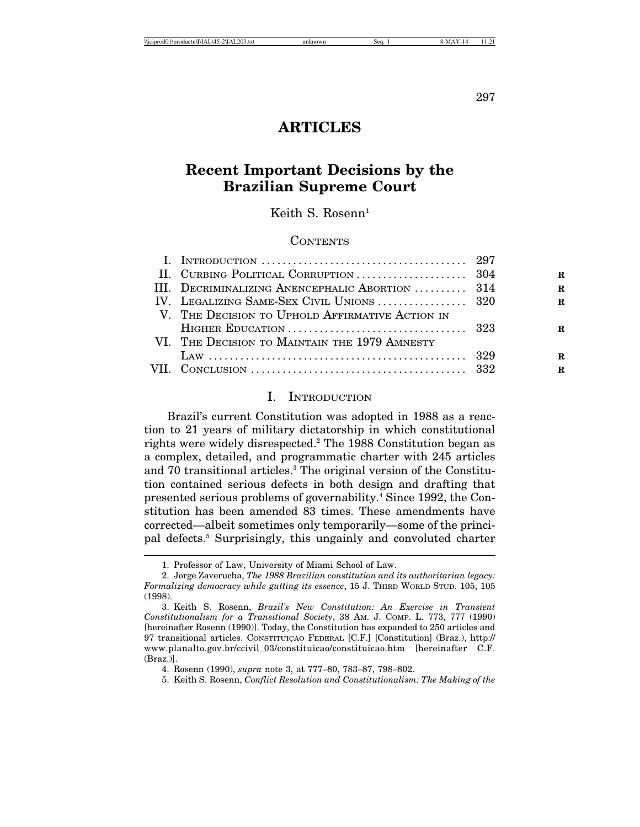297

# **ARTICLES**

# **Recent Important Decisions by the Brazilian Supreme Court**

Keith S. Rosenn<sup>1</sup>

# **CONTENTS**

|                                                 | R.           |
|-------------------------------------------------|--------------|
| III. DECRIMINALIZING ANENCEPHALIC ABORTION  314 | $\mathbf{R}$ |
| IV. LEGALIZING SAME-SEX CIVIL UNIONS  320       | $\mathbf{R}$ |
| V. THE DECISION TO UPHOLD AFFIRMATIVE ACTION IN |              |
|                                                 | R.           |
| VI. THE DECISION TO MAINTAIN THE 1979 AMNESTY   |              |
|                                                 | R.           |
|                                                 | $\mathbf{R}$ |
|                                                 |              |

# I. INTRODUCTION

Brazil's current Constitution was adopted in 1988 as a reaction to 21 years of military dictatorship in which constitutional rights were widely disrespected.2 The 1988 Constitution began as a complex, detailed, and programmatic charter with 245 articles and 70 transitional articles.<sup>3</sup> The original version of the Constitution contained serious defects in both design and drafting that presented serious problems of governability.<sup>4</sup> Since 1992, the Constitution has been amended 83 times. These amendments have corrected—albeit sometimes only temporarily—some of the principal defects.5 Surprisingly, this ungainly and convoluted charter

<sup>1.</sup> Professor of Law, University of Miami School of Law.

<sup>2.</sup> Jorge Zaverucha, *The 1988 Brazilian constitution and its authoritarian legacy: Formalizing democracy while gutting its essence*, 15 J. THIRD WORLD STUD. 105, 105 (1998).

<sup>3.</sup> Keith S. Rosenn, *Brazil's New Constitution: An Exercise in Transient Constitutionalism for a Transitional Society*, 38 AM. J. COMP. L. 773, 777 (1990) [hereinafter Rosenn (1990)]. Today, the Constitution has expanded to 250 articles and 97 transitional articles. CONSTITUIÇÃO FEDERAL [C.F.] [Constitution] (Braz.), http:// www.planalto.gov.br/ccivil\_03/constituicao/constituicao.htm [hereinafter C.F. (Braz.)].

<sup>4.</sup> Rosenn (1990), *supra* note 3, at 777–80, 783–87, 798–802.

<sup>5.</sup> Keith S. Rosenn, *Conflict Resolution and Constitutionalism: The Making of the*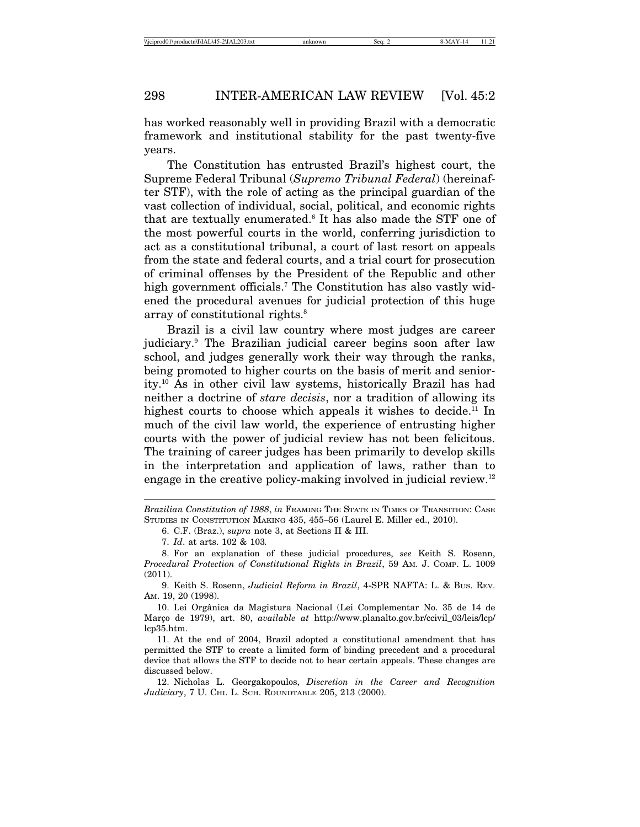has worked reasonably well in providing Brazil with a democratic framework and institutional stability for the past twenty-five years.

The Constitution has entrusted Brazil's highest court, the Supreme Federal Tribunal (*Supremo Tribunal Federal*) (hereinafter STF), with the role of acting as the principal guardian of the vast collection of individual, social, political, and economic rights that are textually enumerated.<sup>6</sup> It has also made the STF one of the most powerful courts in the world, conferring jurisdiction to act as a constitutional tribunal, a court of last resort on appeals from the state and federal courts, and a trial court for prosecution of criminal offenses by the President of the Republic and other high government officials.7 The Constitution has also vastly widened the procedural avenues for judicial protection of this huge array of constitutional rights.<sup>8</sup>

Brazil is a civil law country where most judges are career judiciary.9 The Brazilian judicial career begins soon after law school, and judges generally work their way through the ranks, being promoted to higher courts on the basis of merit and seniority.10 As in other civil law systems, historically Brazil has had neither a doctrine of *stare decisis*, nor a tradition of allowing its highest courts to choose which appeals it wishes to decide.<sup>11</sup> In much of the civil law world, the experience of entrusting higher courts with the power of judicial review has not been felicitous. The training of career judges has been primarily to develop skills in the interpretation and application of laws, rather than to engage in the creative policy-making involved in judicial review.<sup>12</sup>

9. Keith S. Rosenn, *Judicial Reform in Brazil*, 4-SPR NAFTA: L. & BUS. REV. AM. 19, 20 (1998).

10. Lei Orgˆanica da Magistura Nacional (Lei Complementar No. 35 de 14 de Março de 1979), art. 80, *available at* http://www.planalto.gov.br/ccivil 03/leis/lcp/ lcp35.htm.

11. At the end of 2004, Brazil adopted a constitutional amendment that has permitted the STF to create a limited form of binding precedent and a procedural device that allows the STF to decide not to hear certain appeals. These changes are discussed below.

12. Nicholas L. Georgakopoulos, *Discretion in the Career and Recognition Judiciary*, 7 U. CHI. L. SCH. ROUNDTABLE 205, 213 (2000).

*Brazilian Constitution of 1988*, *in* FRAMING THE STATE IN TIMES OF TRANSITION: CASE STUDIES IN CONSTITUTION MAKING 435, 455–56 (Laurel E. Miller ed., 2010).

<sup>6.</sup> C.F. (Braz.), *supra* note 3, at Sections II & III.

<sup>7.</sup> *Id*. at arts. 102 & 103*.*

<sup>8.</sup> For an explanation of these judicial procedures, *see* Keith S. Rosenn, *Procedural Protection of Constitutional Rights in Brazil*, 59 AM. J. COMP. L. 1009 (2011).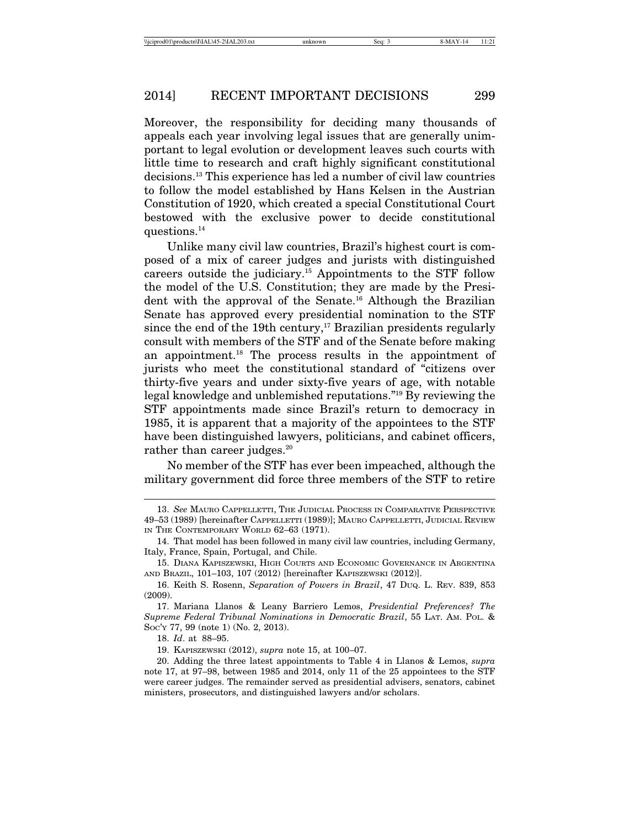Moreover, the responsibility for deciding many thousands of appeals each year involving legal issues that are generally unimportant to legal evolution or development leaves such courts with little time to research and craft highly significant constitutional decisions.13 This experience has led a number of civil law countries to follow the model established by Hans Kelsen in the Austrian Constitution of 1920, which created a special Constitutional Court bestowed with the exclusive power to decide constitutional questions.<sup>14</sup>

Unlike many civil law countries, Brazil's highest court is composed of a mix of career judges and jurists with distinguished careers outside the judiciary.15 Appointments to the STF follow the model of the U.S. Constitution; they are made by the President with the approval of the Senate.16 Although the Brazilian Senate has approved every presidential nomination to the STF since the end of the 19th century, $17$  Brazilian presidents regularly consult with members of the STF and of the Senate before making an appointment.18 The process results in the appointment of jurists who meet the constitutional standard of "citizens over thirty-five years and under sixty-five years of age, with notable legal knowledge and unblemished reputations."19 By reviewing the STF appointments made since Brazil's return to democracy in 1985, it is apparent that a majority of the appointees to the STF have been distinguished lawyers, politicians, and cabinet officers, rather than career judges.<sup>20</sup>

No member of the STF has ever been impeached, although the military government did force three members of the STF to retire

<sup>13.</sup> *See* MAURO CAPPELLETTI, THE JUDICIAL PROCESS IN COMPARATIVE PERSPECTIVE 49–53 (1989) [hereinafter CAPPELLETTI (1989)]; MAURO CAPPELLETTI, JUDICIAL REVIEW IN THE CONTEMPORARY WORLD 62–63 (1971).

<sup>14.</sup> That model has been followed in many civil law countries, including Germany, Italy, France, Spain, Portugal, and Chile.

<sup>15.</sup> DIANA KAPISZEWSKI, HIGH COURTS AND ECONOMIC GOVERNANCE IN ARGENTINA AND BRAZIL, 101–103, 107 (2012) [hereinafter KAPISZEWSKI (2012)].

<sup>16.</sup> Keith S. Rosenn, *Separation of Powers in Brazil*, 47 DUQ. L. REV. 839, 853 (2009).

<sup>17.</sup> Mariana Llanos & Leany Barriero Lemos, *Presidential Preferences? The Supreme Federal Tribunal Nominations in Democratic Brazil*, 55 LAT. AM. POL. & Soc'y 77, 99 (note 1) (No. 2, 2013).

<sup>18.</sup> *Id*. at 88–95.

<sup>19.</sup> KAPISZEWSKI (2012), *supra* note 15, at 100–07.

<sup>20.</sup> Adding the three latest appointments to Table 4 in Llanos & Lemos, *supra* note 17, at 97–98, between 1985 and 2014, only 11 of the 25 appointees to the STF were career judges. The remainder served as presidential advisers, senators, cabinet ministers, prosecutors, and distinguished lawyers and/or scholars.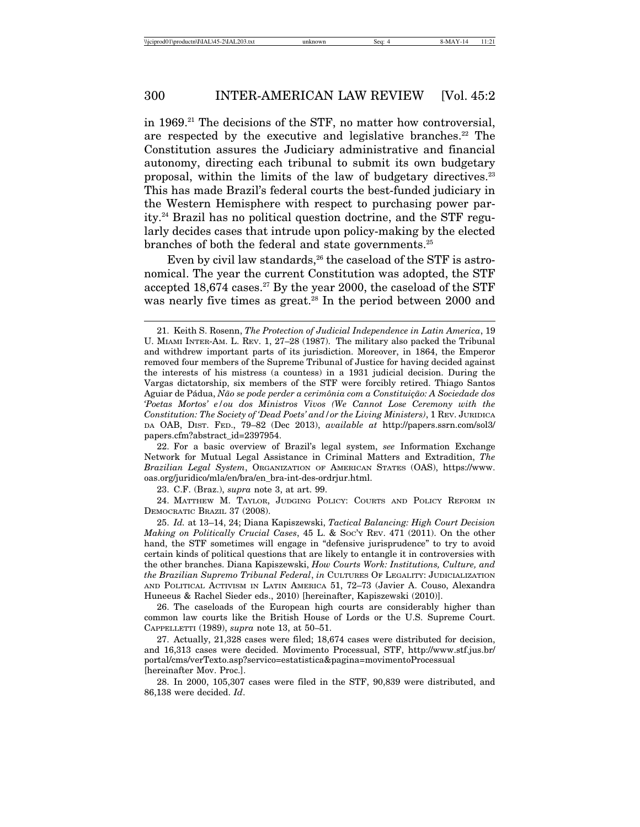in 1969.21 The decisions of the STF, no matter how controversial, are respected by the executive and legislative branches.<sup>22</sup> The Constitution assures the Judiciary administrative and financial autonomy, directing each tribunal to submit its own budgetary proposal, within the limits of the law of budgetary directives.23 This has made Brazil's federal courts the best-funded judiciary in the Western Hemisphere with respect to purchasing power parity.24 Brazil has no political question doctrine, and the STF regularly decides cases that intrude upon policy-making by the elected branches of both the federal and state governments.<sup>25</sup>

Even by civil law standards, $26$  the caseload of the STF is astronomical. The year the current Constitution was adopted, the STF accepted 18,674 cases.<sup>27</sup> By the year 2000, the caseload of the STF was nearly five times as great.<sup>28</sup> In the period between 2000 and

22. For a basic overview of Brazil's legal system, *see* Information Exchange Network for Mutual Legal Assistance in Criminal Matters and Extradition, *The Brazilian Legal System*, ORGANIZATION OF AMERICAN STATES (OAS), https://www. oas.org/juridico/mla/en/bra/en\_bra-int-des-ordrjur.html.

23. C.F. (Braz.), *supra* note 3, at art. 99.

24. MATTHEW M. TAYLOR, JUDGING POLICY: COURTS AND POLICY REFORM IN DEMOCRATIC BRAZIL 37 (2008).

25. *Id.* at 13–14, 24; Diana Kapiszewski, *Tactical Balancing: High Court Decision Making on Politically Crucial Cases*, 45 L. & SOC'Y REV. 471 (2011). On the other hand, the STF sometimes will engage in "defensive jurisprudence" to try to avoid certain kinds of political questions that are likely to entangle it in controversies with the other branches. Diana Kapiszewski, *How Courts Work: Institutions, Culture, and the Brazilian Supremo Tribunal Federal*, *in* CULTURES OF LEGALITY: JUDICIALIZATION AND POLITICAL ACTIVISM IN LATIN AMERICA 51, 72–73 (Javier A. Couso, Alexandra Huneeus & Rachel Sieder eds., 2010) [hereinafter, Kapiszewski (2010)].

26. The caseloads of the European high courts are considerably higher than common law courts like the British House of Lords or the U.S. Supreme Court. CAPPELLETTI (1989), *supra* note 13, at 50–51.

27. Actually, 21,328 cases were filed; 18,674 cases were distributed for decision, and 16,313 cases were decided. Movimento Processual, STF, http://www.stf.jus.br/ portal/cms/verTexto.asp?servico=estatistica&pagina=movimentoProcessual [hereinafter Mov. Proc.].

28. In 2000, 105,307 cases were filed in the STF, 90,839 were distributed, and 86,138 were decided. *Id*.

<sup>21.</sup> Keith S. Rosenn, *The Protection of Judicial Independence in Latin America*, 19 U. MIAMI INTER-AM. L. REV. 1, 27–28 (1987). The military also packed the Tribunal and withdrew important parts of its jurisdiction. Moreover, in 1864, the Emperor removed four members of the Supreme Tribunal of Justice for having decided against the interests of his mistress (a countess) in a 1931 judicial decision. During the Vargas dictatorship, six members of the STF were forcibly retired. Thiago Santos Aguiar de P´adua, *N˜ao se pode perder a cerimˆonia com a Constitui¸c˜ao: A Sociedade dos 'Poetas Mortos' e/ou dos Ministros Vivos (We Cannot Lose Ceremony with the Constitution: The Society of 'Dead Poets' and/or the Living Ministers)*, 1 REV. JURIDICA DA OAB, DIST. FED., 79–82 (Dec 2013), *available at* http://papers.ssrn.com/sol3/ papers.cfm?abstract\_id=2397954.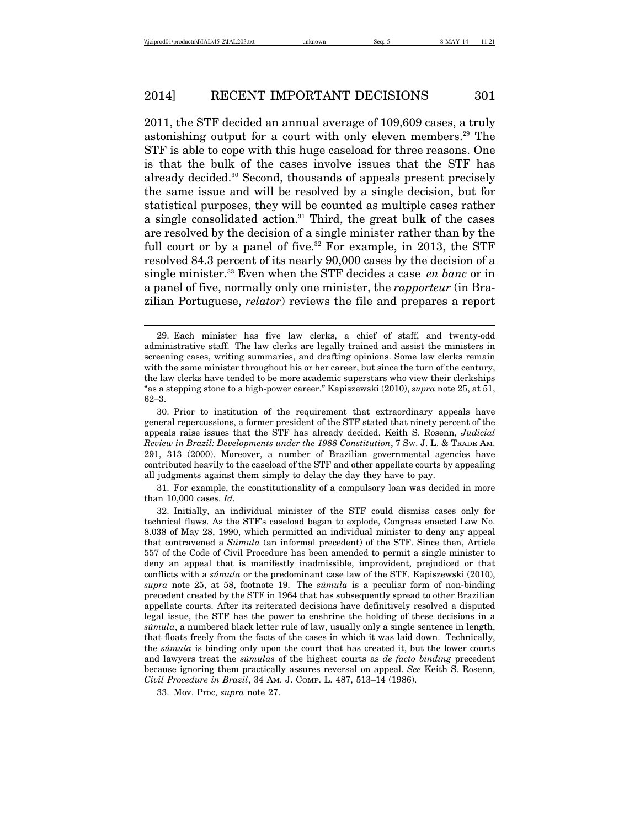2011, the STF decided an annual average of 109,609 cases, a truly astonishing output for a court with only eleven members.<sup>29</sup> The STF is able to cope with this huge caseload for three reasons. One is that the bulk of the cases involve issues that the STF has already decided.<sup>30</sup> Second, thousands of appeals present precisely the same issue and will be resolved by a single decision, but for statistical purposes, they will be counted as multiple cases rather a single consolidated action.<sup>31</sup> Third, the great bulk of the cases are resolved by the decision of a single minister rather than by the full court or by a panel of five. $32$  For example, in 2013, the STF resolved 84.3 percent of its nearly 90,000 cases by the decision of a single minister.33 Even when the STF decides a case *en banc* or in a panel of five, normally only one minister, the *rapporteur* (in Brazilian Portuguese, *relator*) reviews the file and prepares a report

31. For example, the constitutionality of a compulsory loan was decided in more than 10,000 cases. *Id.*

33. Mov. Proc, *supra* note 27.

<sup>29.</sup> Each minister has five law clerks, a chief of staff, and twenty-odd administrative staff. The law clerks are legally trained and assist the ministers in screening cases, writing summaries, and drafting opinions. Some law clerks remain with the same minister throughout his or her career, but since the turn of the century, the law clerks have tended to be more academic superstars who view their clerkships "as a stepping stone to a high-power career." Kapiszewski (2010), *supra* note 25, at 51, 62–3.

<sup>30.</sup> Prior to institution of the requirement that extraordinary appeals have general repercussions, a former president of the STF stated that ninety percent of the appeals raise issues that the STF has already decided. Keith S. Rosenn, *Judicial Review in Brazil: Developments under the 1988 Constitution*, 7 SW. J. L. & TRADE AM. 291, 313 (2000). Moreover, a number of Brazilian governmental agencies have contributed heavily to the caseload of the STF and other appellate courts by appealing all judgments against them simply to delay the day they have to pay.

<sup>32.</sup> Initially, an individual minister of the STF could dismiss cases only for technical flaws. As the STF's caseload began to explode, Congress enacted Law No. 8.038 of May 28, 1990, which permitted an individual minister to deny any appeal that contravened a *S´umula* (an informal precedent) of the STF. Since then, Article 557 of the Code of Civil Procedure has been amended to permit a single minister to deny an appeal that is manifestly inadmissible, improvident, prejudiced or that conflicts with a *s´umula* or the predominant case law of the STF. Kapiszewski (2010), *supra* note 25, at 58, footnote 19. The *s´umula* is a peculiar form of non-binding precedent created by the STF in 1964 that has subsequently spread to other Brazilian appellate courts. After its reiterated decisions have definitively resolved a disputed legal issue, the STF has the power to enshrine the holding of these decisions in a *s´umula*, a numbered black letter rule of law, usually only a single sentence in length, that floats freely from the facts of the cases in which it was laid down. Technically, the *s´umula* is binding only upon the court that has created it, but the lower courts and lawyers treat the *s´umulas* of the highest courts as *de facto binding* precedent because ignoring them practically assures reversal on appeal. *See* Keith S. Rosenn, *Civil Procedure in Brazil*, 34 AM. J. COMP. L. 487, 513–14 (1986).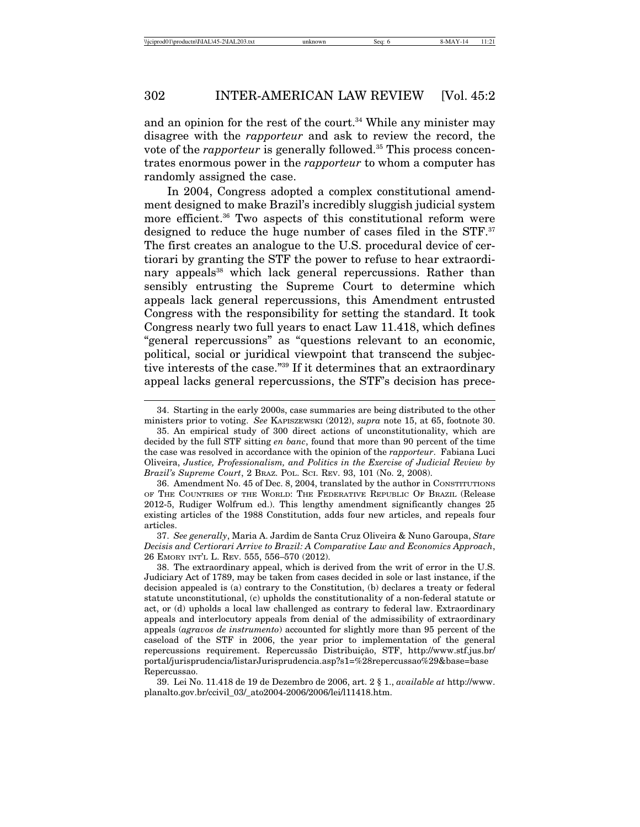and an opinion for the rest of the court.<sup>34</sup> While any minister may disagree with the *rapporteur* and ask to review the record, the vote of the *rapporteur* is generally followed.<sup>35</sup> This process concentrates enormous power in the *rapporteur* to whom a computer has randomly assigned the case.

In 2004, Congress adopted a complex constitutional amendment designed to make Brazil's incredibly sluggish judicial system more efficient.<sup>36</sup> Two aspects of this constitutional reform were designed to reduce the huge number of cases filed in the STF.<sup>37</sup> The first creates an analogue to the U.S. procedural device of certiorari by granting the STF the power to refuse to hear extraordinary appeals<sup>38</sup> which lack general repercussions. Rather than sensibly entrusting the Supreme Court to determine which appeals lack general repercussions, this Amendment entrusted Congress with the responsibility for setting the standard. It took Congress nearly two full years to enact Law 11.418, which defines "general repercussions" as "questions relevant to an economic, political, social or juridical viewpoint that transcend the subjective interests of the case."39 If it determines that an extraordinary appeal lacks general repercussions, the STF's decision has prece-

39. Lei No. 11.418 de 19 de Dezembro de 2006, art. 2 § 1., *available at* http://www. planalto.gov.br/ccivil\_03/\_ato2004-2006/2006/lei/l11418.htm.

<sup>34.</sup> Starting in the early 2000s, case summaries are being distributed to the other ministers prior to voting. *See* KAPISZEWSKI (2012), *supra* note 15, at 65, footnote 30.

<sup>35.</sup> An empirical study of 300 direct actions of unconstitutionality, which are decided by the full STF sitting *en banc*, found that more than 90 percent of the time the case was resolved in accordance with the opinion of the *rapporteur*. Fabiana Luci Oliveira, *Justice, Professionalism, and Politics in the Exercise of Judicial Review by Brazil's Supreme Court*, 2 BRAZ. POL. SCI. REV. 93, 101 (No. 2, 2008).

<sup>36.</sup> Amendment No. 45 of Dec. 8, 2004, translated by the author in CONSTITUTIONS OF THE COUNTRIES OF THE WORLD: THE FEDERATIVE REPUBLIC OF BRAZIL (Release 2012-5, Rudiger Wolfrum ed.). This lengthy amendment significantly changes 25 existing articles of the 1988 Constitution, adds four new articles, and repeals four articles.

<sup>37.</sup> *See generally*, Maria A. Jardim de Santa Cruz Oliveira & Nuno Garoupa, *Stare Decisis and Certiorari Arrive to Brazil: A Comparative Law and Economics Approach*, 26 EMORY INT'L L. REV. 555, 556–570 (2012).

<sup>38.</sup> The extraordinary appeal, which is derived from the writ of error in the U.S. Judiciary Act of 1789, may be taken from cases decided in sole or last instance, if the decision appealed is (a) contrary to the Constitution, (b) declares a treaty or federal statute unconstitutional, (c) upholds the constitutionality of a non-federal statute or act, or (d) upholds a local law challenged as contrary to federal law. Extraordinary appeals and interlocutory appeals from denial of the admissibility of extraordinary appeals (*agravos de instrumento*) accounted for slightly more than 95 percent of the caseload of the STF in 2006, the year prior to implementation of the general repercussions requirement. Repercussão Distribuição, STF, http://www.stf.jus.br/ portal/jurisprudencia/listarJurisprudencia.asp?s1=%28repercussao%29&base=base Repercussao.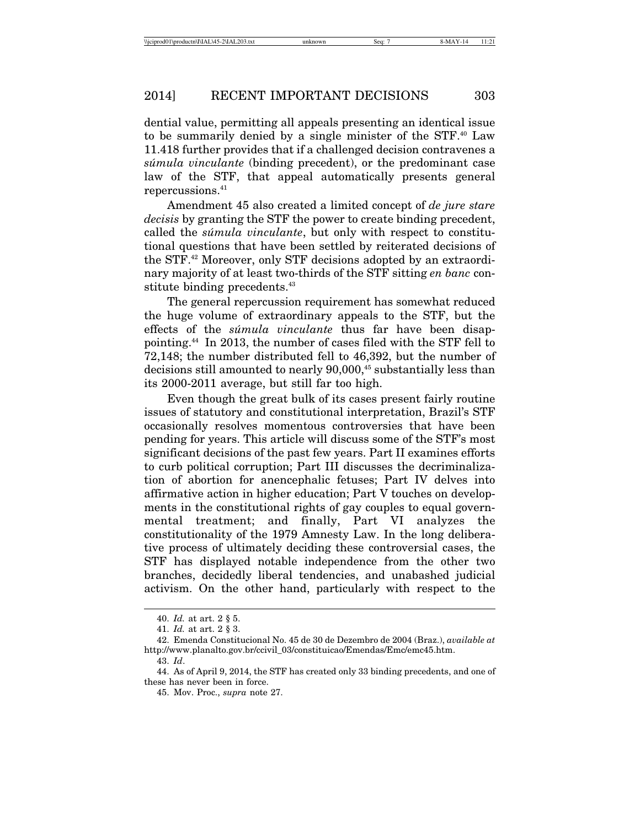dential value, permitting all appeals presenting an identical issue to be summarily denied by a single minister of the STF.40 Law 11.418 further provides that if a challenged decision contravenes a *súmula vinculante* (binding precedent), or the predominant case law of the STF, that appeal automatically presents general repercussions.41

Amendment 45 also created a limited concept of *de jure stare decisis* by granting the STF the power to create binding precedent, called the *súmula vinculante*, but only with respect to constitutional questions that have been settled by reiterated decisions of the STF.42 Moreover, only STF decisions adopted by an extraordinary majority of at least two-thirds of the STF sitting *en banc* constitute binding precedents.<sup>43</sup>

The general repercussion requirement has somewhat reduced the huge volume of extraordinary appeals to the STF, but the effects of the *súmula vinculante* thus far have been disappointing.44 In 2013, the number of cases filed with the STF fell to 72,148; the number distributed fell to 46,392, but the number of decisions still amounted to nearly 90,000,<sup>45</sup> substantially less than its 2000-2011 average, but still far too high.

Even though the great bulk of its cases present fairly routine issues of statutory and constitutional interpretation, Brazil's STF occasionally resolves momentous controversies that have been pending for years. This article will discuss some of the STF's most significant decisions of the past few years. Part II examines efforts to curb political corruption; Part III discusses the decriminalization of abortion for anencephalic fetuses; Part IV delves into affirmative action in higher education; Part V touches on developments in the constitutional rights of gay couples to equal governmental treatment; and finally, Part VI analyzes the constitutionality of the 1979 Amnesty Law. In the long deliberative process of ultimately deciding these controversial cases, the STF has displayed notable independence from the other two branches, decidedly liberal tendencies, and unabashed judicial activism. On the other hand, particularly with respect to the

<sup>40.</sup> *Id.* at art. 2 § 5.

<sup>41.</sup> *Id.* at art. 2 § 3.

<sup>42.</sup> Emenda Constitucional No. 45 de 30 de Dezembro de 2004 (Braz.), *available at* http://www.planalto.gov.br/ccivil\_03/constituicao/Emendas/Emc/emc45.htm.

<sup>43.</sup> *Id*.

<sup>44.</sup> As of April 9, 2014, the STF has created only 33 binding precedents, and one of these has never been in force.

<sup>45.</sup> Mov. Proc., *supra* note 27.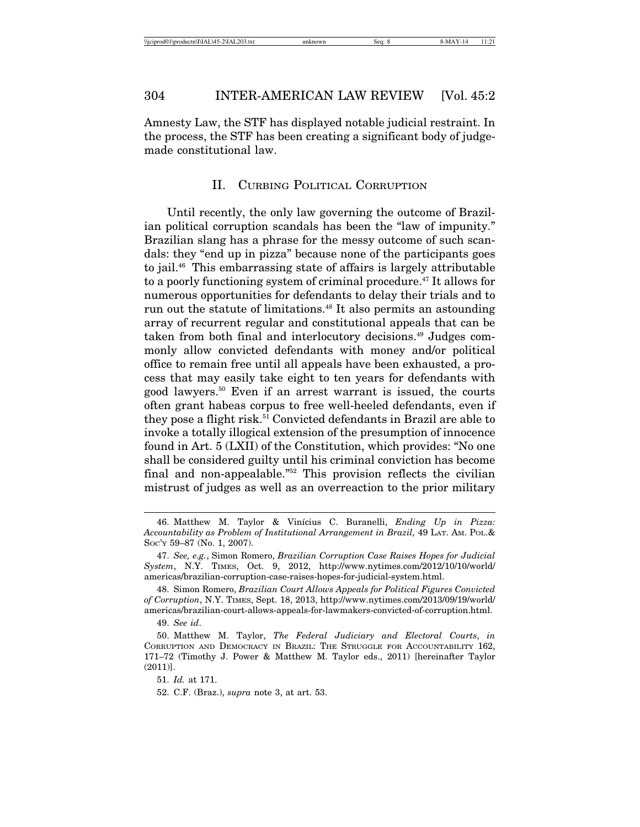Amnesty Law, the STF has displayed notable judicial restraint. In the process, the STF has been creating a significant body of judgemade constitutional law.

# II. CURBING POLITICAL CORRUPTION

Until recently, the only law governing the outcome of Brazilian political corruption scandals has been the "law of impunity." Brazilian slang has a phrase for the messy outcome of such scandals: they "end up in pizza" because none of the participants goes to jail.46 This embarrassing state of affairs is largely attributable to a poorly functioning system of criminal procedure.47 It allows for numerous opportunities for defendants to delay their trials and to run out the statute of limitations.<sup>48</sup> It also permits an astounding array of recurrent regular and constitutional appeals that can be taken from both final and interlocutory decisions.49 Judges commonly allow convicted defendants with money and/or political office to remain free until all appeals have been exhausted, a process that may easily take eight to ten years for defendants with good lawyers.50 Even if an arrest warrant is issued, the courts often grant habeas corpus to free well-heeled defendants, even if they pose a flight risk.51 Convicted defendants in Brazil are able to invoke a totally illogical extension of the presumption of innocence found in Art. 5 (LXII) of the Constitution, which provides: "No one shall be considered guilty until his criminal conviction has become final and non-appealable."52 This provision reflects the civilian mistrust of judges as well as an overreaction to the prior military

51. *Id.* at 171.

<sup>46.</sup> Matthew M. Taylor & Vin´ıcius C. Buranelli, *Ending Up in Pizza: Accountability as Problem of Institutional Arrangement in Brazil,* 49 LAT. AM. POL.& SOC'Y 59–87 (No. 1, 2007).

<sup>47.</sup> *See, e.g.*, Simon Romero, *Brazilian Corruption Case Raises Hopes for Judicial System*, N.Y. TIMES, Oct. 9, 2012, http://www.nytimes.com/2012/10/10/world/ americas/brazilian-corruption-case-raises-hopes-for-judicial-system.html.

<sup>48.</sup> Simon Romero, *Brazilian Court Allows Appeals for Political Figures Convicted of Corruption*, N.Y. TIMES, Sept. 18, 2013, http://www.nytimes.com/2013/09/19/world/ americas/brazilian-court-allows-appeals-for-lawmakers-convicted-of-corruption.html.

<sup>49.</sup> *See id*.

<sup>50.</sup> Matthew M. Taylor, *The Federal Judiciary and Electoral Courts*, *in* CORRUPTION AND DEMOCRACY IN BRAZIL: THE STRUGGLE FOR ACCOUNTABILITY 162, 171–72 (Timothy J. Power & Matthew M. Taylor eds., 2011) [hereinafter Taylor (2011)].

<sup>52.</sup> C.F. (Braz.), *supra* note 3, at art. 53.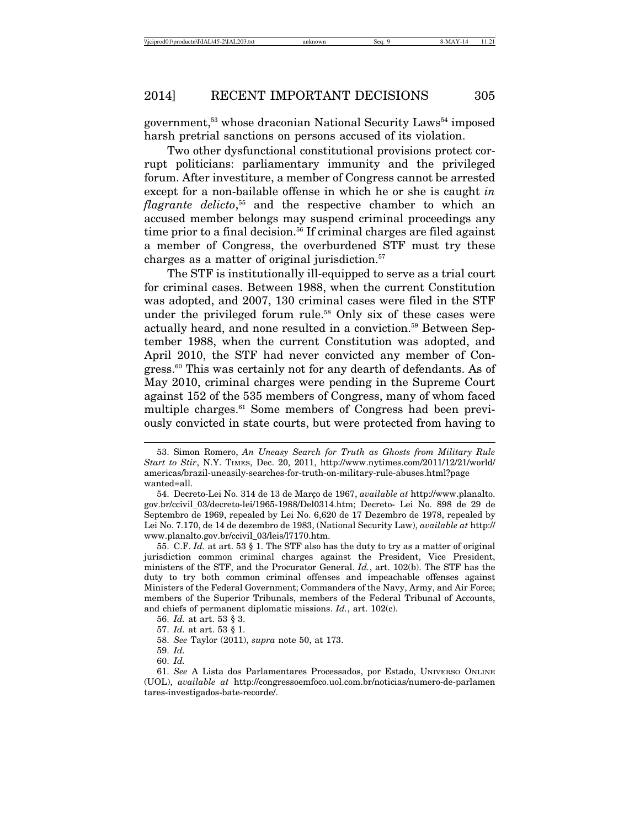government,<sup>53</sup> whose draconian National Security Laws<sup>54</sup> imposed harsh pretrial sanctions on persons accused of its violation.

Two other dysfunctional constitutional provisions protect corrupt politicians: parliamentary immunity and the privileged forum. After investiture, a member of Congress cannot be arrested except for a non-bailable offense in which he or she is caught *in flagrante delicto*, 55 and the respective chamber to which an accused member belongs may suspend criminal proceedings any time prior to a final decision.<sup>56</sup> If criminal charges are filed against a member of Congress, the overburdened STF must try these charges as a matter of original jurisdiction.<sup>57</sup>

The STF is institutionally ill-equipped to serve as a trial court for criminal cases. Between 1988, when the current Constitution was adopted, and 2007, 130 criminal cases were filed in the STF under the privileged forum rule.<sup>58</sup> Only six of these cases were actually heard, and none resulted in a conviction.<sup>59</sup> Between September 1988, when the current Constitution was adopted, and April 2010, the STF had never convicted any member of Congress.<sup>60</sup> This was certainly not for any dearth of defendants. As of May 2010, criminal charges were pending in the Supreme Court against 152 of the 535 members of Congress, many of whom faced multiple charges.<sup>61</sup> Some members of Congress had been previously convicted in state courts, but were protected from having to

<sup>53.</sup> Simon Romero, *An Uneasy Search for Truth as Ghosts from Military Rule Start to Stir*, N.Y. TIMES, Dec. 20, 2011, http://www.nytimes.com/2011/12/21/world/ americas/brazil-uneasily-searches-for-truth-on-military-rule-abuses.html?page wanted=all.

<sup>54.</sup> Decreto-Lei No. 314 de 13 de Março de 1967, *available at* http://www.planalto. gov.br/ccivil\_03/decreto-lei/1965-1988/Del0314.htm; Decreto- Lei No. 898 de 29 de Septembro de 1969, repealed by Lei No. 6,620 de 17 Dezembro de 1978, repealed by Lei No. 7.170, de 14 de dezembro de 1983, (National Security Law), *available at* http:// www.planalto.gov.br/ccivil\_03/leis/l7170.htm.

<sup>55.</sup> C.F. *Id.* at art. 53 § 1. The STF also has the duty to try as a matter of original jurisdiction common criminal charges against the President, Vice President, ministers of the STF, and the Procurator General. *Id.*, art. 102(b). The STF has the duty to try both common criminal offenses and impeachable offenses against Ministers of the Federal Government; Commanders of the Navy, Army, and Air Force; members of the Superior Tribunals, members of the Federal Tribunal of Accounts, and chiefs of permanent diplomatic missions. *Id.*, art. 102(c).

<sup>56.</sup> *Id.* at art. 53 § 3.

<sup>57.</sup> *Id.* at art. 53 § 1.

<sup>58.</sup> *See* Taylor (2011), *supra* note 50, at 173.

<sup>59.</sup> *Id.*

<sup>60.</sup> *Id.*

<sup>61.</sup> *See* A Lista dos Parlamentares Processados, por Estado, UNIVERSO ONLINE (UOL), *available at* http://congressoemfoco.uol.com.br/noticias/numero-de-parlamen tares-investigados-bate-recorde/.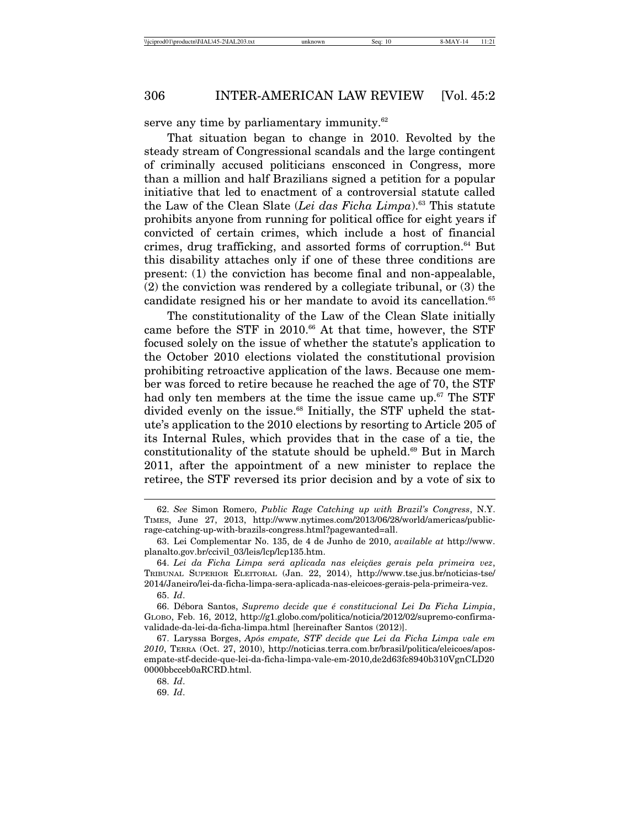serve any time by parliamentary immunity.<sup>62</sup>

That situation began to change in 2010. Revolted by the steady stream of Congressional scandals and the large contingent of criminally accused politicians ensconced in Congress, more than a million and half Brazilians signed a petition for a popular initiative that led to enactment of a controversial statute called the Law of the Clean Slate (*Lei das Ficha Limpa*).<sup>63</sup> This statute prohibits anyone from running for political office for eight years if convicted of certain crimes, which include a host of financial crimes, drug trafficking, and assorted forms of corruption.64 But this disability attaches only if one of these three conditions are present: (1) the conviction has become final and non-appealable, (2) the conviction was rendered by a collegiate tribunal, or (3) the candidate resigned his or her mandate to avoid its cancellation.<sup>65</sup>

The constitutionality of the Law of the Clean Slate initially came before the STF in 2010.<sup>66</sup> At that time, however, the STF focused solely on the issue of whether the statute's application to the October 2010 elections violated the constitutional provision prohibiting retroactive application of the laws. Because one member was forced to retire because he reached the age of 70, the STF had only ten members at the time the issue came up.<sup>67</sup> The STF divided evenly on the issue.<sup>68</sup> Initially, the STF upheld the statute's application to the 2010 elections by resorting to Article 205 of its Internal Rules, which provides that in the case of a tie, the constitutionality of the statute should be upheld.69 But in March 2011, after the appointment of a new minister to replace the retiree, the STF reversed its prior decision and by a vote of six to

<sup>62.</sup> *See* Simon Romero, *Public Rage Catching up with Brazil's Congress*, N.Y. TIMES, June 27, 2013, http://www.nytimes.com/2013/06/28/world/americas/publicrage-catching-up-with-brazils-congress.html?pagewanted=all.

<sup>63.</sup> Lei Complementar No. 135, de 4 de Junho de 2010, *available at* http://www. planalto.gov.br/ccivil\_03/leis/lcp/lcp135.htm.

<sup>64.</sup> Lei da Ficha Limpa será aplicada nas eleiçães gerais pela primeira vez, TRIBUNAL SUPERIOR ELEITORAL (Jan. 22, 2014), http://www.tse.jus.br/noticias-tse/ 2014/Janeiro/lei-da-ficha-limpa-sera-aplicada-nas-eleicoes-gerais-pela-primeira-vez. 65. *Id*.

<sup>66.</sup> D´ebora Santos, *Supremo decide que ´e constitucional Lei Da Ficha Limpia*, GLOBO, Feb. 16, 2012, http://g1.globo.com/politica/noticia/2012/02/supremo-confirmavalidade-da-lei-da-ficha-limpa.html [hereinafter Santos (2012)].

<sup>67.</sup> Laryssa Borges, *Ap´os empate, STF decide que Lei da Ficha Limpa vale em 2010*, TERRA (Oct. 27, 2010), http://noticias.terra.com.br/brasil/politica/eleicoes/aposempate-stf-decide-que-lei-da-ficha-limpa-vale-em-2010,de2d63fc8940b310VgnCLD20 0000bbcceb0aRCRD.html.

<sup>68.</sup> *Id*.

<sup>69.</sup> *Id*.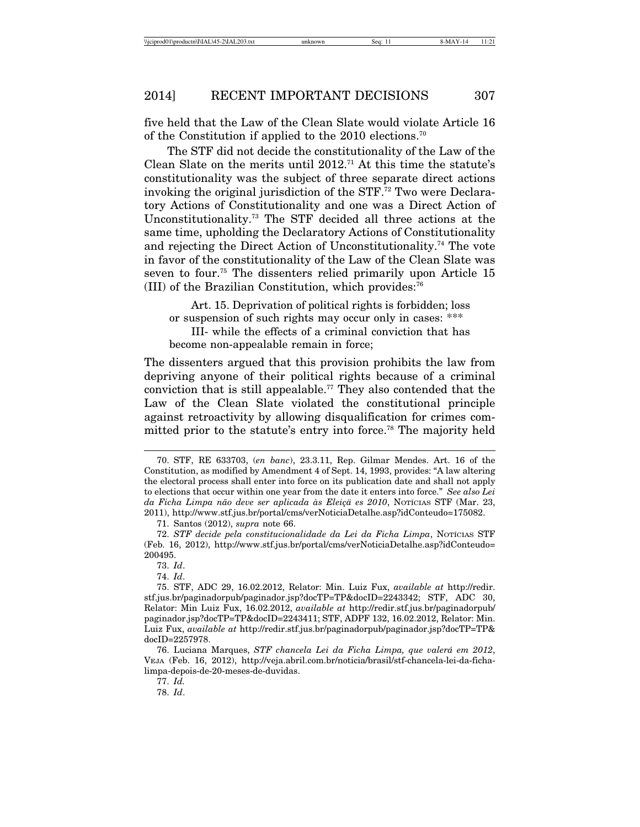five held that the Law of the Clean Slate would violate Article 16 of the Constitution if applied to the 2010 elections.70

The STF did not decide the constitutionality of the Law of the Clean Slate on the merits until  $2012$ .<sup>71</sup> At this time the statute's constitutionality was the subject of three separate direct actions invoking the original jurisdiction of the STF.72 Two were Declaratory Actions of Constitutionality and one was a Direct Action of Unconstitutionality.73 The STF decided all three actions at the same time, upholding the Declaratory Actions of Constitutionality and rejecting the Direct Action of Unconstitutionality.74 The vote in favor of the constitutionality of the Law of the Clean Slate was seven to four.<sup>75</sup> The dissenters relied primarily upon Article 15 (III) of the Brazilian Constitution, which provides:76

Art. 15. Deprivation of political rights is forbidden; loss or suspension of such rights may occur only in cases: \*\*\*

III- while the effects of a criminal conviction that has become non-appealable remain in force;

The dissenters argued that this provision prohibits the law from depriving anyone of their political rights because of a criminal conviction that is still appealable.<sup>77</sup> They also contended that the Law of the Clean Slate violated the constitutional principle against retroactivity by allowing disqualification for crimes committed prior to the statute's entry into force.78 The majority held

71. Santos (2012), *supra* note 66.

74. *Id*.

<sup>70.</sup> STF, RE 633703, (*en banc*), 23.3.11, Rep. Gilmar Mendes. Art. 16 of the Constitution, as modified by Amendment 4 of Sept. 14, 1993, provides: "A law altering the electoral process shall enter into force on its publication date and shall not apply to elections that occur within one year from the date it enters into force." *See also Lei* da Ficha Limpa não deve ser aplicada às Eleiçä es 2010, Norícuss STF (Mar. 23, 2011), http://www.stf.jus.br/portal/cms/verNoticiaDetalhe.asp?idConteudo=175082.

<sup>72.</sup> *STF decide pela constitucionalidade da Lei da Ficha Limpa*, Noríc1as STF (Feb. 16, 2012), http://www.stf.jus.br/portal/cms/verNoticiaDetalhe.asp?idConteudo= 200495.

<sup>73.</sup> *Id*.

<sup>75.</sup> STF, ADC 29, 16.02.2012, Relator: Min. Luiz Fux, *available at* http://redir. stf.jus.br/paginadorpub/paginador.jsp?docTP=TP&docID=2243342; STF, ADC 30, Relator: Min Luiz Fux, 16.02.2012, *available at* http://redir.stf.jus.br/paginadorpub/ paginador.jsp?docTP=TP&docID=2243411; STF, ADPF 132, 16.02.2012, Relator: Min. Luiz Fux, *available at* http://redir.stf.jus.br/paginadorpub/paginador.jsp?docTP=TP& docID=2257978.

<sup>76.</sup> Luciana Marques, *STF chancela Lei da Ficha Limpa, que valerá em 2012*, VEJA (Feb. 16, 2012), http://veja.abril.com.br/noticia/brasil/stf-chancela-lei-da-fichalimpa-depois-de-20-meses-de-duvidas.

<sup>77.</sup> *Id.*

<sup>78.</sup> *Id*.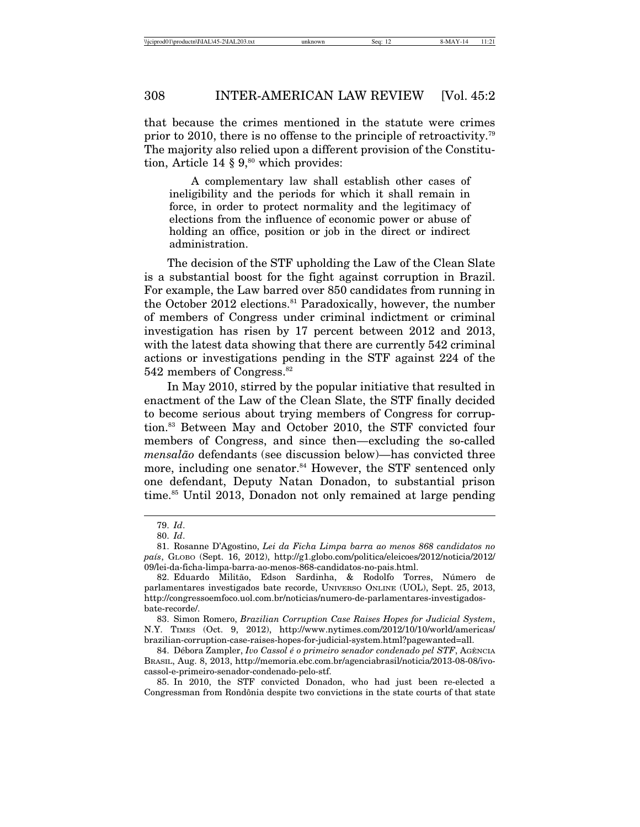that because the crimes mentioned in the statute were crimes prior to 2010, there is no offense to the principle of retroactivity.79 The majority also relied upon a different provision of the Constitution, Article 14  $\S 9$ ,<sup>80</sup> which provides:

A complementary law shall establish other cases of ineligibility and the periods for which it shall remain in force, in order to protect normality and the legitimacy of elections from the influence of economic power or abuse of holding an office, position or job in the direct or indirect administration.

The decision of the STF upholding the Law of the Clean Slate is a substantial boost for the fight against corruption in Brazil. For example, the Law barred over 850 candidates from running in the October 2012 elections.<sup>81</sup> Paradoxically, however, the number of members of Congress under criminal indictment or criminal investigation has risen by 17 percent between 2012 and 2013, with the latest data showing that there are currently 542 criminal actions or investigations pending in the STF against 224 of the 542 members of Congress.<sup>82</sup>

In May 2010, stirred by the popular initiative that resulted in enactment of the Law of the Clean Slate, the STF finally decided to become serious about trying members of Congress for corruption.83 Between May and October 2010, the STF convicted four members of Congress, and since then—excluding the so-called *mensal˜ao* defendants (see discussion below)—has convicted three more, including one senator.<sup>84</sup> However, the STF sentenced only one defendant, Deputy Natan Donadon, to substantial prison time.<sup>85</sup> Until 2013, Donadon not only remained at large pending

<sup>79.</sup> *Id*.

<sup>80.</sup> *Id*.

<sup>81.</sup> Rosanne D'Agostino, *Lei da Ficha Limpa barra ao menos 868 candidatos no* país, GLOBO (Sept. 16, 2012), http://g1.globo.com/politica/eleicoes/2012/noticia/2012/ 09/lei-da-ficha-limpa-barra-ao-menos-868-candidatos-no-pais.html.

<sup>82.</sup> Eduardo Militão, Edson Sardinha, & Rodolfo Torres, Número de parlamentares investigados bate recorde, UNIVERSO ONLINE (UOL), Sept. 25, 2013, http://congressoemfoco.uol.com.br/noticias/numero-de-parlamentares-investigadosbate-recorde/.

<sup>83.</sup> Simon Romero, *Brazilian Corruption Case Raises Hopes for Judicial System*, N.Y. TIMES (Oct. 9, 2012), http://www.nytimes.com/2012/10/10/world/americas/ brazilian-corruption-case-raises-hopes-for-judicial-system.html?pagewanted=all.

<sup>84.</sup> Débora Zampler, *Ivo Cassol é o primeiro senador condenado pel STF*, AGENCIA BRASIL, Aug. 8, 2013, http://memoria.ebc.com.br/agenciabrasil/noticia/2013-08-08/ivocassol-e-primeiro-senador-condenado-pelo-stf.

<sup>85.</sup> In 2010, the STF convicted Donadon, who had just been re-elected a Congressman from Rondônia despite two convictions in the state courts of that state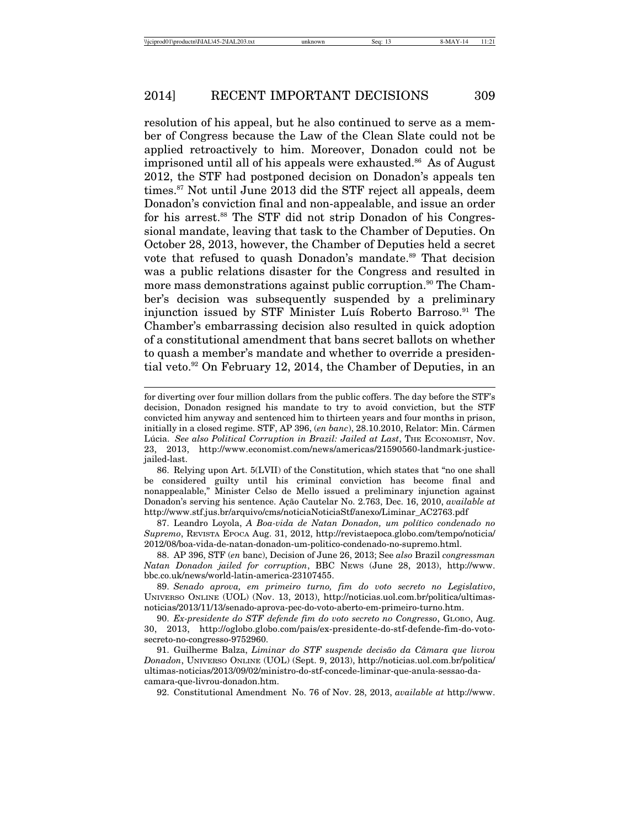resolution of his appeal, but he also continued to serve as a member of Congress because the Law of the Clean Slate could not be applied retroactively to him. Moreover, Donadon could not be imprisoned until all of his appeals were exhausted.<sup>86</sup> As of August 2012, the STF had postponed decision on Donadon's appeals ten times.87 Not until June 2013 did the STF reject all appeals, deem Donadon's conviction final and non-appealable, and issue an order for his arrest.<sup>88</sup> The STF did not strip Donadon of his Congressional mandate, leaving that task to the Chamber of Deputies. On October 28, 2013, however, the Chamber of Deputies held a secret vote that refused to quash Donadon's mandate.<sup>89</sup> That decision was a public relations disaster for the Congress and resulted in more mass demonstrations against public corruption.<sup>90</sup> The Chamber's decision was subsequently suspended by a preliminary injunction issued by STF Minister Luís Roberto Barroso.<sup>91</sup> The Chamber's embarrassing decision also resulted in quick adoption of a constitutional amendment that bans secret ballots on whether to quash a member's mandate and whether to override a presidential veto.<sup>92</sup> On February 12, 2014, the Chamber of Deputies, in an

86. Relying upon Art. 5(LVII) of the Constitution, which states that "no one shall be considered guilty until his criminal conviction has become final and nonappealable," Minister Celso de Mello issued a preliminary injunction against Donadon's serving his sentence. Ação Cautelar No. 2.763, Dec. 16, 2010, *available at* http://www.stf.jus.br/arquivo/cms/noticiaNoticiaStf/anexo/Liminar\_AC2763.pdf

87. Leandro Loyola, *A Boa-vida de Natan Donadon, um pol´ıtico condenado no Supremo*, REVISTA EPOCA Aug. 31, 2012, http://revistaepoca.globo.com/tempo/noticia/ 2012/08/boa-vida-de-natan-donadon-um-politico-condenado-no-supremo.html.

88. AP 396, STF (*en* banc), Decision of June 26, 2013; See *also* Brazil *congressman Natan Donadon jailed for corruption*, BBC NEWS (June 28, 2013), http://www. bbc.co.uk/news/world-latin-america-23107455.

89. *Senado aprova, em primeiro turno, fim do voto secreto no Legislativo*, UNIVERSO ONLINE (UOL) (Nov. 13, 2013), http://noticias.uol.com.br/politica/ultimasnoticias/2013/11/13/senado-aprova-pec-do-voto-aberto-em-primeiro-turno.htm.

90. *Ex-presidente do STF defende fim do voto secreto no Congresso*, GLOBO, Aug. 30, 2013, http://oglobo.globo.com/pais/ex-presidente-do-stf-defende-fim-do-votosecreto-no-congresso-9752960.

91. Guilherme Balza, *Liminar do STF suspende decis˜ao da Cˆamara que livrou Donadon*, UNIVERSO ONLINE (UOL) (Sept. 9, 2013), http://noticias.uol.com.br/politica/ ultimas-noticias/2013/09/02/ministro-do-stf-concede-liminar-que-anula-sessao-dacamara-que-livrou-donadon.htm.

92. Constitutional Amendment No. 76 of Nov. 28, 2013, *available at* http://www.

for diverting over four million dollars from the public coffers. The day before the STF's decision, Donadon resigned his mandate to try to avoid conviction, but the STF convicted him anyway and sentenced him to thirteen years and four months in prison, initially in a closed regime. STF, AP 396, (en banc), 28.10.2010, Relator: Min. Cármen Lúcia. *See also Political Corruption in Brazil: Jailed at Last*, THE ECONOMIST, Nov. 23, 2013, http://www.economist.com/news/americas/21590560-landmark-justicejailed-last.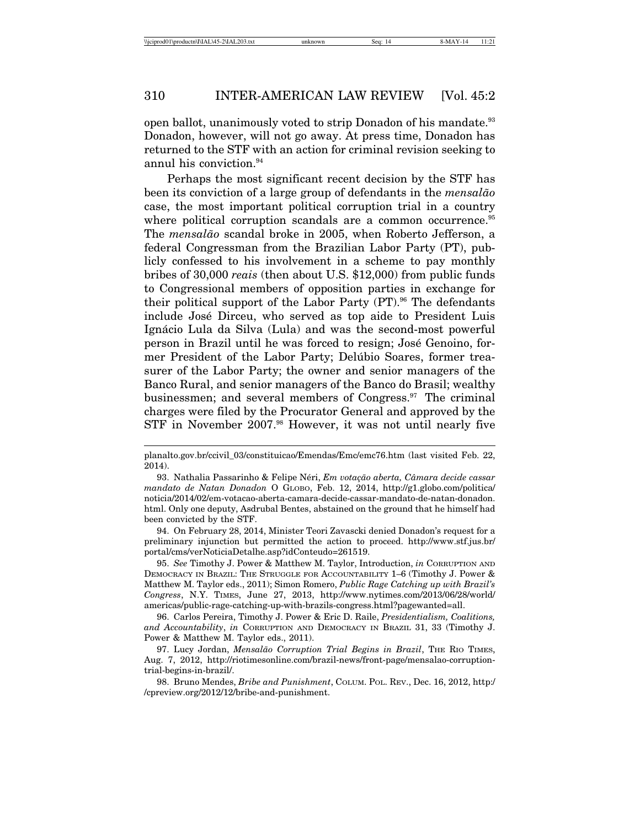open ballot, unanimously voted to strip Donadon of his mandate.<sup>93</sup> Donadon, however, will not go away. At press time, Donadon has returned to the STF with an action for criminal revision seeking to annul his conviction.<sup>94</sup>

Perhaps the most significant recent decision by the STF has been its conviction of a large group of defendants in the *mensal˜ao* case, the most important political corruption trial in a country where political corruption scandals are a common occurrence.<sup>95</sup> The *mensal˜ao* scandal broke in 2005, when Roberto Jefferson, a federal Congressman from the Brazilian Labor Party (PT), publicly confessed to his involvement in a scheme to pay monthly bribes of 30,000 *reais* (then about U.S. \$12,000) from public funds to Congressional members of opposition parties in exchange for their political support of the Labor Party  $(PT)$ .<sup>96</sup> The defendants include José Dirceu, who served as top aide to President Luis Ignácio Lula da Silva (Lula) and was the second-most powerful person in Brazil until he was forced to resign; José Genoino, former President of the Labor Party; Delúbio Soares, former treasurer of the Labor Party; the owner and senior managers of the Banco Rural, and senior managers of the Banco do Brasil; wealthy businessmen; and several members of Congress.<sup>97</sup> The criminal charges were filed by the Procurator General and approved by the STF in November 2007.<sup>98</sup> However, it was not until nearly five

94. On February 28, 2014, Minister Teori Zavascki denied Donadon's request for a preliminary injunction but permitted the action to proceed. http://www.stf.jus.br/ portal/cms/verNoticiaDetalhe.asp?idConteudo=261519.

95. *See* Timothy J. Power & Matthew M. Taylor, Introduction, *in* CORRUPTION AND DEMOCRACY IN BRAZIL: THE STRUGGLE FOR ACCOUNTABILITY 1–6 (Timothy J. Power & Matthew M. Taylor eds., 2011); Simon Romero, *Public Rage Catching up with Brazil's Congress*, N.Y. TIMES, June 27, 2013, http://www.nytimes.com/2013/06/28/world/ americas/public-rage-catching-up-with-brazils-congress.html?pagewanted=all.

96. Carlos Pereira, Timothy J. Power & Eric D. Raile, *Presidentialism, Coalitions, and Accountability*, *in* CORRUPTION AND DEMOCRACY IN BRAZIL 31, 33 (Timothy J. Power & Matthew M. Taylor eds., 2011).

97. Lucy Jordan, *Mensal˜ao Corruption Trial Begins in Brazil*, THE RIO TIMES, Aug. 7, 2012, http://riotimesonline.com/brazil-news/front-page/mensalao-corruptiontrial-begins-in-brazil/.

98. Bruno Mendes, *Bribe and Punishment*, COLUM. POL. REV., Dec. 16, 2012, http:/ /cpreview.org/2012/12/bribe-and-punishment.

planalto.gov.br/ccivil\_03/constituicao/Emendas/Emc/emc76.htm (last visited Feb. 22, 2014).

<sup>93.</sup> Nathalia Passarinho & Felipe Néri, *Em votação aberta, Câmara decide cassar mandato de Natan Donadon* O GLOBO, Feb. 12, 2014, http://g1.globo.com/politica/ noticia/2014/02/em-votacao-aberta-camara-decide-cassar-mandato-de-natan-donadon. html. Only one deputy, Asdrubal Bentes, abstained on the ground that he himself had been convicted by the STF.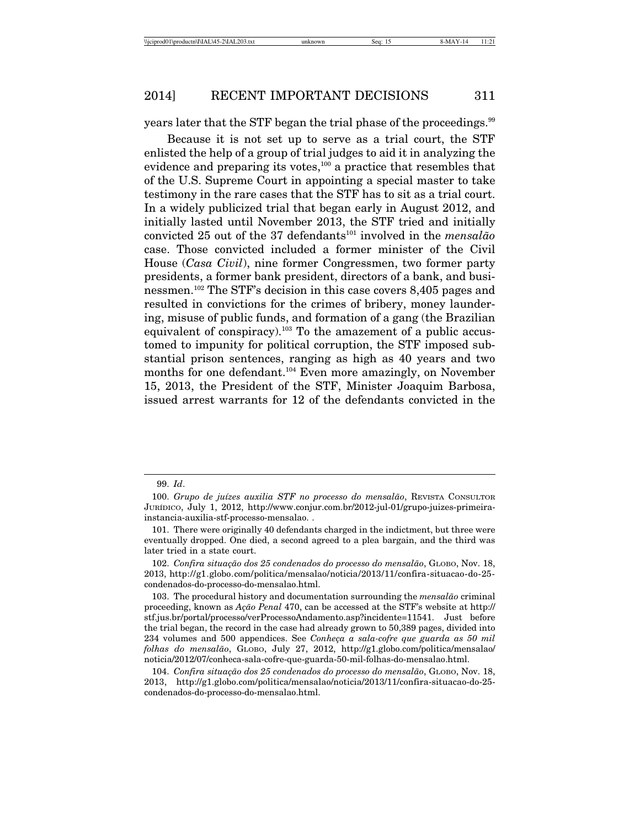years later that the STF began the trial phase of the proceedings.<sup>99</sup>

Because it is not set up to serve as a trial court, the STF enlisted the help of a group of trial judges to aid it in analyzing the evidence and preparing its votes, $100$  a practice that resembles that of the U.S. Supreme Court in appointing a special master to take testimony in the rare cases that the STF has to sit as a trial court. In a widely publicized trial that began early in August 2012, and initially lasted until November 2013, the STF tried and initially convicted 25 out of the 37 defendants<sup>101</sup> involved in the *mensalão* case. Those convicted included a former minister of the Civil House (*Casa Civil*), nine former Congressmen, two former party presidents, a former bank president, directors of a bank, and businessmen.102 The STF's decision in this case covers 8,405 pages and resulted in convictions for the crimes of bribery, money laundering, misuse of public funds, and formation of a gang (the Brazilian equivalent of conspiracy).<sup>103</sup> To the amazement of a public accustomed to impunity for political corruption, the STF imposed substantial prison sentences, ranging as high as 40 years and two months for one defendant.<sup>104</sup> Even more amazingly, on November 15, 2013, the President of the STF, Minister Joaquim Barbosa, issued arrest warrants for 12 of the defendants convicted in the

<sup>99.</sup> *Id*.

<sup>100.</sup> *Grupo de ju´ızes auxilia STF no processo do mensal˜ao*, REVISTA CONSULTOR JUR´ IDICO, July 1, 2012, http://www.conjur.com.br/2012-jul-01/grupo-juizes-primeirainstancia-auxilia-stf-processo-mensalao. .

<sup>101.</sup> There were originally 40 defendants charged in the indictment, but three were eventually dropped. One died, a second agreed to a plea bargain, and the third was later tried in a state court.

<sup>102.</sup> *Confira situa¸c˜ao dos 25 condenados do processo do mensal˜ao*, GLOBO, Nov. 18, 2013, http://g1.globo.com/politica/mensalao/noticia/2013/11/confira-situacao-do-25 condenados-do-processo-do-mensalao.html.

<sup>103.</sup> The procedural history and documentation surrounding the *mensal˜ao* criminal proceeding, known as *Ação Penal* 470, can be accessed at the STF's website at http:// stf.jus.br/portal/processo/verProcessoAndamento.asp?incidente=11541. Just before the trial began, the record in the case had already grown to 50,389 pages, divided into 234 volumes and 500 appendices. See *Conheça a sala-cofre que guarda as 50 mil folhas do mensal˜ao*, GLOBO, July 27, 2012, http://g1.globo.com/politica/mensalao/ noticia/2012/07/conheca-sala-cofre-que-guarda-50-mil-folhas-do-mensalao.html.

<sup>104.</sup> *Confira situa¸c˜ao dos 25 condenados do processo do mensal˜ao*, GLOBO, Nov. 18, 2013, http://g1.globo.com/politica/mensalao/noticia/2013/11/confira-situacao-do-25 condenados-do-processo-do-mensalao.html.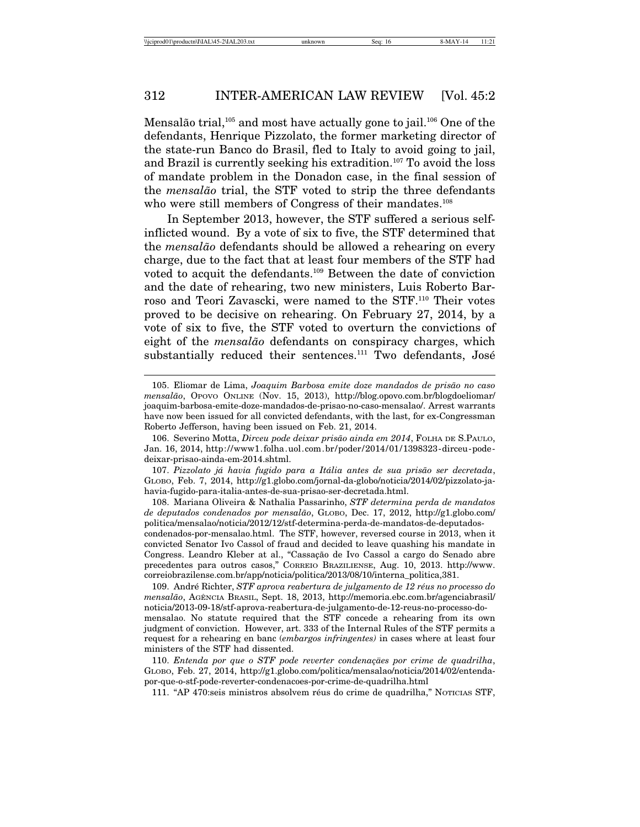Mensalão trial,<sup>105</sup> and most have actually gone to jail.<sup>106</sup> One of the defendants, Henrique Pizzolato, the former marketing director of the state-run Banco do Brasil, fled to Italy to avoid going to jail, and Brazil is currently seeking his extradition.<sup>107</sup> To avoid the loss of mandate problem in the Donadon case, in the final session of the *mensal˜ao* trial, the STF voted to strip the three defendants who were still members of Congress of their mandates.<sup>108</sup>

In September 2013, however, the STF suffered a serious selfinflicted wound. By a vote of six to five, the STF determined that the *mensal˜ao* defendants should be allowed a rehearing on every charge, due to the fact that at least four members of the STF had voted to acquit the defendants.109 Between the date of conviction and the date of rehearing, two new ministers, Luis Roberto Barroso and Teori Zavascki, were named to the STF.110 Their votes proved to be decisive on rehearing. On February 27, 2014, by a vote of six to five, the STF voted to overturn the convictions of eight of the *mensalão* defendants on conspiracy charges, which substantially reduced their sentences.<sup>111</sup> Two defendants, José

107. Pizzolato já havia fugido para a Itália antes de sua prisão ser decretada, GLOBO, Feb. 7, 2014, http://g1.globo.com/jornal-da-globo/noticia/2014/02/pizzolato-jahavia-fugido-para-italia-antes-de-sua-prisao-ser-decretada.html.

108. Mariana Oliveira & Nathalia Passarinho, *STF determina perda de mandatos de deputados condenados por mensal˜ao*, GLOBO, Dec. 17, 2012, http://g1.globo.com/ politica/mensalao/noticia/2012/12/stf-determina-perda-de-mandatos-de-deputadoscondenados-por-mensalao.html. The STF, however, reversed course in 2013, when it convicted Senator Ivo Cassol of fraud and decided to leave quashing his mandate in

Congress. Leandro Kleber at al., "Cassação de Ivo Cassol a cargo do Senado abre precedentes para outros casos," CORREIO BRAZILIENSE, Aug. 10, 2013. http://www. correiobrazilense.com.br/app/noticia/politica/2013/08/10/interna\_politica,381.

109. Andr´e Richter, *STF aprova reabertura de julgamento de 12 r´eus no processo do mensal˜ao*, AGENCIA ˆ BRASIL, Sept. 18, 2013, http://memoria.ebc.com.br/agenciabrasil/ noticia/2013-09-18/stf-aprova-reabertura-de-julgamento-de-12-reus-no-processo-domensalao. No statute required that the STF concede a rehearing from its own

judgment of conviction. However, art. 333 of the Internal Rules of the STF permits a request for a rehearing en banc (*embargos infringentes)* in cases where at least four ministers of the STF had dissented.

110. *Entenda por que o STF pode reverter condenações por crime de quadrilha*, GLOBO, Feb. 27, 2014, http://g1.globo.com/politica/mensalao/noticia/2014/02/entendapor-que-o-stf-pode-reverter-condenacoes-por-crime-de-quadrilha.html

111. "AP 470:seis ministros absolvem réus do crime de quadrilha," NOTICIAS STF,

<sup>105.</sup> Eliomar de Lima, *Joaquim Barbosa emite doze mandados de pris˜ao no caso mensal˜ao*, OPOVO ONLINE (Nov. 15, 2013), http://blog.opovo.com.br/blogdoeliomar/ joaquim-barbosa-emite-doze-mandados-de-prisao-no-caso-mensalao/. Arrest warrants have now been issued for all convicted defendants, with the last, for ex-Congressman Roberto Jefferson, having been issued on Feb. 21, 2014.

<sup>106.</sup> Severino Motta, *Dirceu pode deixar pris˜ao ainda em 2014*, FOLHA DE S.PAULO, Jan. 16, 2014, http://www1.folha.uol.com.br/poder/2014/01/1398323-dirceu-podedeixar-prisao-ainda-em-2014.shtml.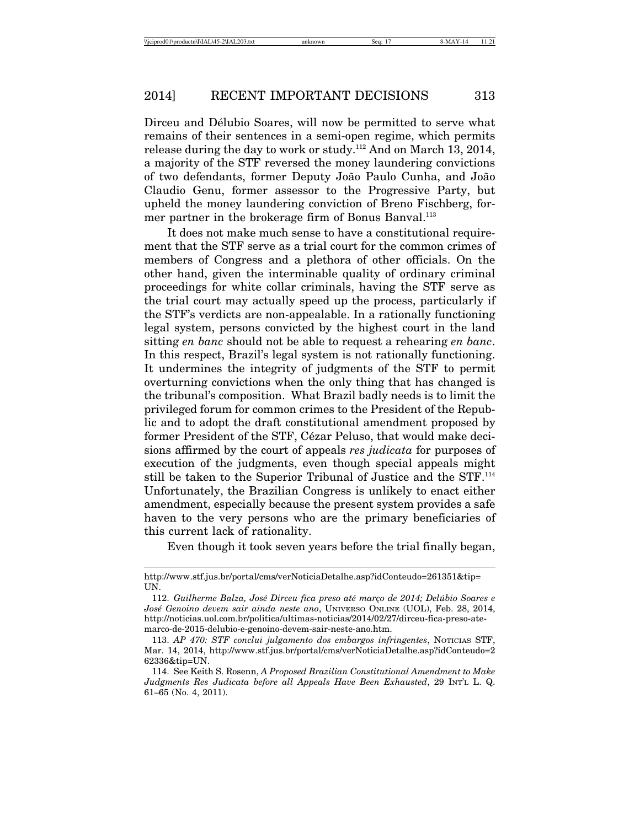Dirceu and Délubio Soares, will now be permitted to serve what remains of their sentences in a semi-open regime, which permits release during the day to work or study.112 And on March 13, 2014, a majority of the STF reversed the money laundering convictions of two defendants, former Deputy João Paulo Cunha, and João Claudio Genu, former assessor to the Progressive Party, but upheld the money laundering conviction of Breno Fischberg, former partner in the brokerage firm of Bonus Banval.<sup>113</sup>

It does not make much sense to have a constitutional requirement that the STF serve as a trial court for the common crimes of members of Congress and a plethora of other officials. On the other hand, given the interminable quality of ordinary criminal proceedings for white collar criminals, having the STF serve as the trial court may actually speed up the process, particularly if the STF's verdicts are non-appealable. In a rationally functioning legal system, persons convicted by the highest court in the land sitting *en banc* should not be able to request a rehearing *en banc*. In this respect, Brazil's legal system is not rationally functioning. It undermines the integrity of judgments of the STF to permit overturning convictions when the only thing that has changed is the tribunal's composition. What Brazil badly needs is to limit the privileged forum for common crimes to the President of the Republic and to adopt the draft constitutional amendment proposed by former President of the STF, Cézar Peluso, that would make decisions affirmed by the court of appeals *res judicata* for purposes of execution of the judgments, even though special appeals might still be taken to the Superior Tribunal of Justice and the STF.114 Unfortunately, the Brazilian Congress is unlikely to enact either amendment, especially because the present system provides a safe haven to the very persons who are the primary beneficiaries of this current lack of rationality.

Even though it took seven years before the trial finally began,

http://www.stf.jus.br/portal/cms/verNoticiaDetalhe.asp?idConteudo=261351&tip= UN.

<sup>112.</sup> Guilherme Balza, José Dirceu fica preso até março de 2014; Delúbio Soares e *Jos´e Genoino devem sair ainda neste ano*, UNIVERSO ONLINE (UOL), Feb. 28, 2014, http://noticias.uol.com.br/politica/ultimas-noticias/2014/02/27/dirceu-fica-preso-atemarco-de-2015-delubio-e-genoino-devem-sair-neste-ano.htm.

<sup>113.</sup> *AP 470: STF conclui julgamento dos embargos infringentes*, NOTICIAS STF, Mar. 14, 2014, http://www.stf.jus.br/portal/cms/verNoticiaDetalhe.asp?idConteudo=2 62336&tip=UN.

<sup>114.</sup> See Keith S. Rosenn, *A Proposed Brazilian Constitutional Amendment to Make Judgments Res Judicata before all Appeals Have Been Exhausted*, 29 INT'L L. Q. 61–65 (No. 4, 2011).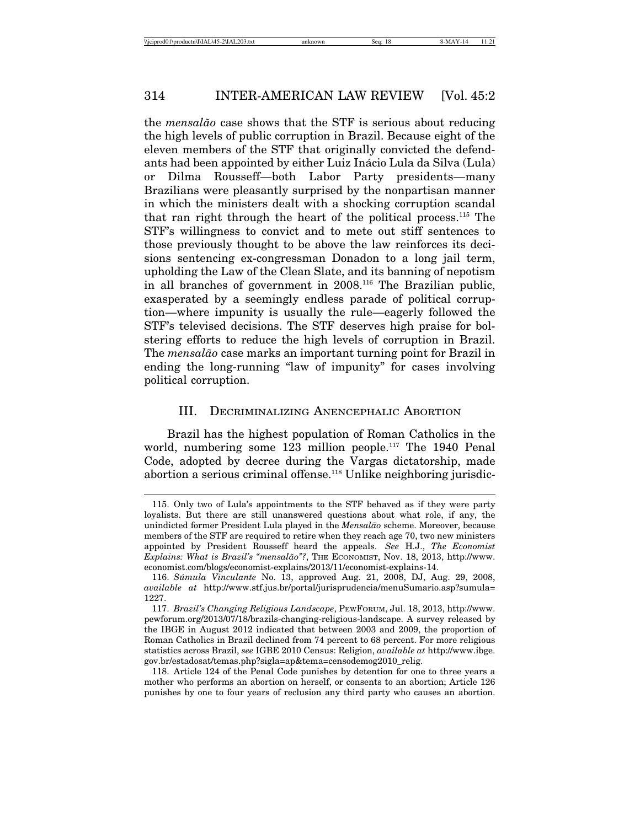the *mensal˜ao* case shows that the STF is serious about reducing the high levels of public corruption in Brazil. Because eight of the eleven members of the STF that originally convicted the defendants had been appointed by either Luiz Inácio Lula da Silva (Lula) or Dilma Rousseff—both Labor Party presidents—many Brazilians were pleasantly surprised by the nonpartisan manner in which the ministers dealt with a shocking corruption scandal that ran right through the heart of the political process.115 The STF's willingness to convict and to mete out stiff sentences to those previously thought to be above the law reinforces its decisions sentencing ex-congressman Donadon to a long jail term, upholding the Law of the Clean Slate, and its banning of nepotism in all branches of government in 2008.116 The Brazilian public, exasperated by a seemingly endless parade of political corruption—where impunity is usually the rule—eagerly followed the STF's televised decisions. The STF deserves high praise for bolstering efforts to reduce the high levels of corruption in Brazil. The *mensal˜ao* case marks an important turning point for Brazil in ending the long-running "law of impunity" for cases involving political corruption.

## III. DECRIMINALIZING ANENCEPHALIC ABORTION

Brazil has the highest population of Roman Catholics in the world, numbering some 123 million people.<sup>117</sup> The 1940 Penal Code, adopted by decree during the Vargas dictatorship, made abortion a serious criminal offense.<sup>118</sup> Unlike neighboring jurisdic-

<sup>115.</sup> Only two of Lula's appointments to the STF behaved as if they were party loyalists. But there are still unanswered questions about what role, if any, the unindicted former President Lula played in the *Mensal˜ao* scheme. Moreover, because members of the STF are required to retire when they reach age 70, two new ministers appointed by President Rousseff heard the appeals. *See* H.J., *The Economist Explains: What is Brazil's "mensalão"?*, THE ECONOMIST, Nov. 18, 2013, http://www. economist.com/blogs/economist-explains/2013/11/economist-explains-14.

<sup>116.</sup> *S´umula Vinculante* No. 13, approved Aug. 21, 2008, DJ, Aug. 29, 2008, *available at* http://www.stf.jus.br/portal/jurisprudencia/menuSumario.asp?sumula= 1227.

<sup>117.</sup> *Brazil's Changing Religious Landscape*, PEWFORUM, Jul. 18, 2013, http://www. pewforum.org/2013/07/18/brazils-changing-religious-landscape. A survey released by the IBGE in August 2012 indicated that between 2003 and 2009, the proportion of Roman Catholics in Brazil declined from 74 percent to 68 percent. For more religious statistics across Brazil, *see* IGBE 2010 Census: Religion, *available at* http://www.ibge. gov.br/estadosat/temas.php?sigla=ap&tema=censodemog2010\_relig.

<sup>118.</sup> Article 124 of the Penal Code punishes by detention for one to three years a mother who performs an abortion on herself, or consents to an abortion; Article 126 punishes by one to four years of reclusion any third party who causes an abortion.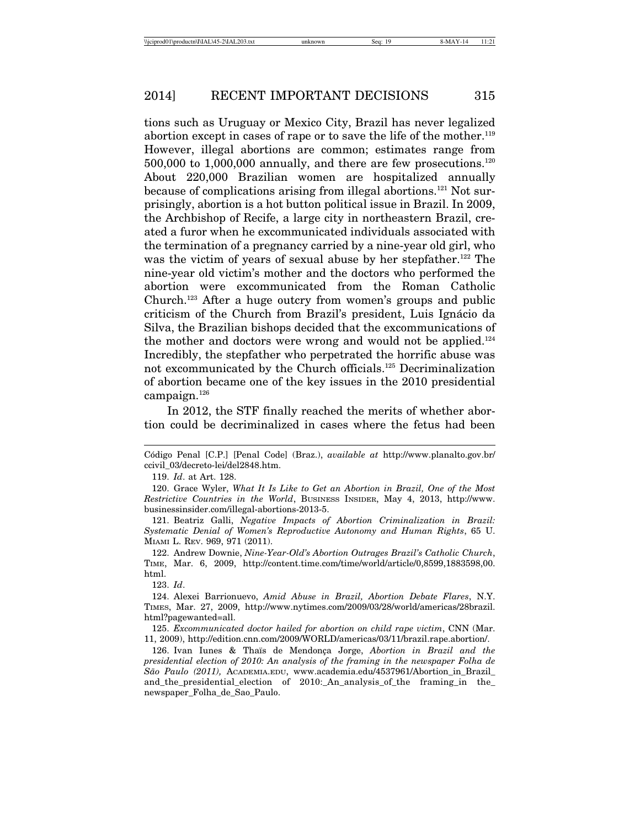tions such as Uruguay or Mexico City, Brazil has never legalized abortion except in cases of rape or to save the life of the mother.<sup>119</sup> However, illegal abortions are common; estimates range from  $500,000$  to  $1,000,000$  annually, and there are few prosecutions.<sup>120</sup> About 220,000 Brazilian women are hospitalized annually because of complications arising from illegal abortions.121 Not surprisingly, abortion is a hot button political issue in Brazil. In 2009, the Archbishop of Recife, a large city in northeastern Brazil, created a furor when he excommunicated individuals associated with the termination of a pregnancy carried by a nine-year old girl, who was the victim of years of sexual abuse by her stepfather.<sup>122</sup> The nine-year old victim's mother and the doctors who performed the abortion were excommunicated from the Roman Catholic Church.123 After a huge outcry from women's groups and public criticism of the Church from Brazil's president, Luis Ignácio da Silva, the Brazilian bishops decided that the excommunications of the mother and doctors were wrong and would not be applied.<sup>124</sup> Incredibly, the stepfather who perpetrated the horrific abuse was not excommunicated by the Church officials.125 Decriminalization of abortion became one of the key issues in the 2010 presidential campaign.<sup>126</sup>

In 2012, the STF finally reached the merits of whether abortion could be decriminalized in cases where the fetus had been

123. *Id*.

C´odigo Penal [C.P.] [Penal Code] (Braz.), *available at* http://www.planalto.gov.br/ ccivil\_03/decreto-lei/del2848.htm.

<sup>119.</sup> *Id*. at Art. 128.

<sup>120.</sup> Grace Wyler, *What It Is Like to Get an Abortion in Brazil, One of the Most Restrictive Countries in the World*, BUSINESS INSIDER, May 4, 2013, http://www. businessinsider.com/illegal-abortions-2013-5.

<sup>121.</sup> Beatriz Galli, *Negative Impacts of Abortion Criminalization in Brazil: Systematic Denial of Women's Reproductive Autonomy and Human Rights*, 65 U. MIAMI L. REV. 969, 971 (2011).

<sup>122.</sup> Andrew Downie, *Nine-Year-Old's Abortion Outrages Brazil's Catholic Church*, TIME, Mar. 6, 2009, http://content.time.com/time/world/article/0,8599,1883598,00. html.

<sup>124.</sup> Alexei Barrionuevo, *Amid Abuse in Brazil, Abortion Debate Flares*, N.Y. TIMES, Mar. 27, 2009, http://www.nytimes.com/2009/03/28/world/americas/28brazil. html?pagewanted=all.

<sup>125.</sup> *Excommunicated doctor hailed for abortion on child rape victim*, CNN (Mar. 11, 2009), http://edition.cnn.com/2009/WORLD/americas/03/11/brazil.rape.abortion/.

<sup>126.</sup> Ivan Iunes & Thaïs de Mendonça Jorge, *Abortion in Brazil and the presidential election of 2010: An analysis of the framing in the newspaper Folha de S˜ao Paulo (2011),* ACADEMIA.EDU, www.academia.edu/4537961/Abortion\_in\_Brazil\_ and\_the\_presidential\_election of 2010:\_An\_analysis\_of\_the framing\_in the\_ newspaper\_Folha\_de\_Sao\_Paulo.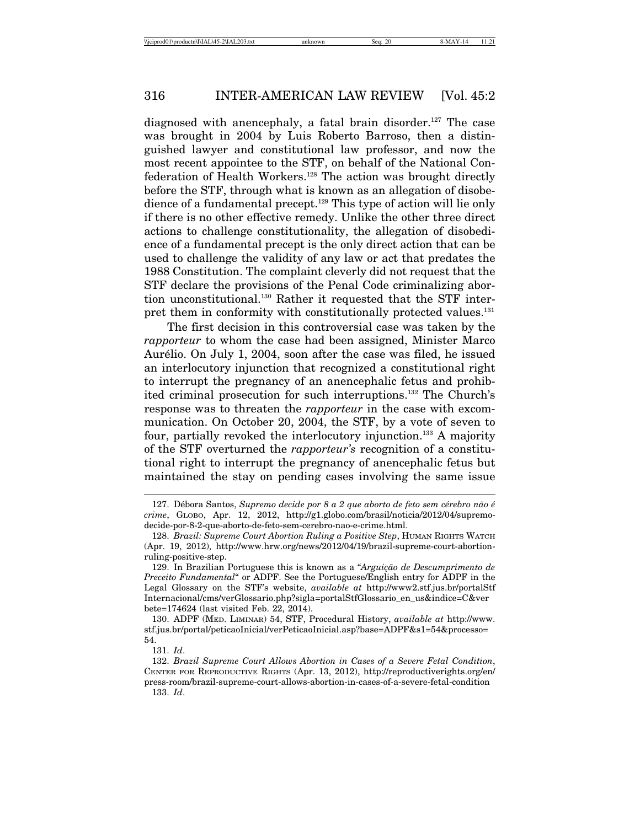diagnosed with anencephaly, a fatal brain disorder.<sup>127</sup> The case was brought in 2004 by Luis Roberto Barroso, then a distinguished lawyer and constitutional law professor, and now the most recent appointee to the STF, on behalf of the National Confederation of Health Workers.128 The action was brought directly before the STF, through what is known as an allegation of disobedience of a fundamental precept.<sup>129</sup> This type of action will lie only if there is no other effective remedy. Unlike the other three direct actions to challenge constitutionality, the allegation of disobedience of a fundamental precept is the only direct action that can be used to challenge the validity of any law or act that predates the 1988 Constitution. The complaint cleverly did not request that the STF declare the provisions of the Penal Code criminalizing abortion unconstitutional.130 Rather it requested that the STF interpret them in conformity with constitutionally protected values.<sup>131</sup>

The first decision in this controversial case was taken by the *rapporteur* to whom the case had been assigned, Minister Marco Aurélio. On July 1, 2004, soon after the case was filed, he issued an interlocutory injunction that recognized a constitutional right to interrupt the pregnancy of an anencephalic fetus and prohibited criminal prosecution for such interruptions.132 The Church's response was to threaten the *rapporteur* in the case with excommunication. On October 20, 2004, the STF, by a vote of seven to four, partially revoked the interlocutory injunction.<sup>133</sup> A majority of the STF overturned the *rapporteur's* recognition of a constitutional right to interrupt the pregnancy of anencephalic fetus but maintained the stay on pending cases involving the same issue

<sup>127.</sup> Débora Santos, *Supremo decide por 8 a 2 que aborto de feto sem cérebro não é crime*, GLOBO, Apr. 12, 2012, http://g1.globo.com/brasil/noticia/2012/04/supremodecide-por-8-2-que-aborto-de-feto-sem-cerebro-nao-e-crime.html.

<sup>128.</sup> *Brazil: Supreme Court Abortion Ruling a Positive Step*, HUMAN RIGHTS WATCH (Apr. 19, 2012), http://www.hrw.org/news/2012/04/19/brazil-supreme-court-abortionruling-positive-step.

<sup>129.</sup> In Brazilian Portuguese this is known as a "*Argui¸c˜ao de Descumprimento de Preceito Fundamental*" or ADPF. See the Portuguese/English entry for ADPF in the Legal Glossary on the STF's website, *available at* http://www2.stf.jus.br/portalStf Internacional/cms/verGlossario.php?sigla=portalStfGlossario\_en\_us&indice=C&ver bete=174624 (last visited Feb. 22, 2014).

<sup>130.</sup> ADPF (MED. LIMINAR) 54, STF, Procedural History, *available at* http://www. stf.jus.br/portal/peticaoInicial/verPeticaoInicial.asp?base=ADPF&s1=54&processo= 54.

<sup>131.</sup> *Id*.

<sup>132.</sup> *Brazil Supreme Court Allows Abortion in Cases of a Severe Fetal Condition*, CENTER FOR REPRODUCTIVE RIGHTS (Apr. 13, 2012), http://reproductiverights.org/en/ press-room/brazil-supreme-court-allows-abortion-in-cases-of-a-severe-fetal-condition 133. *Id*.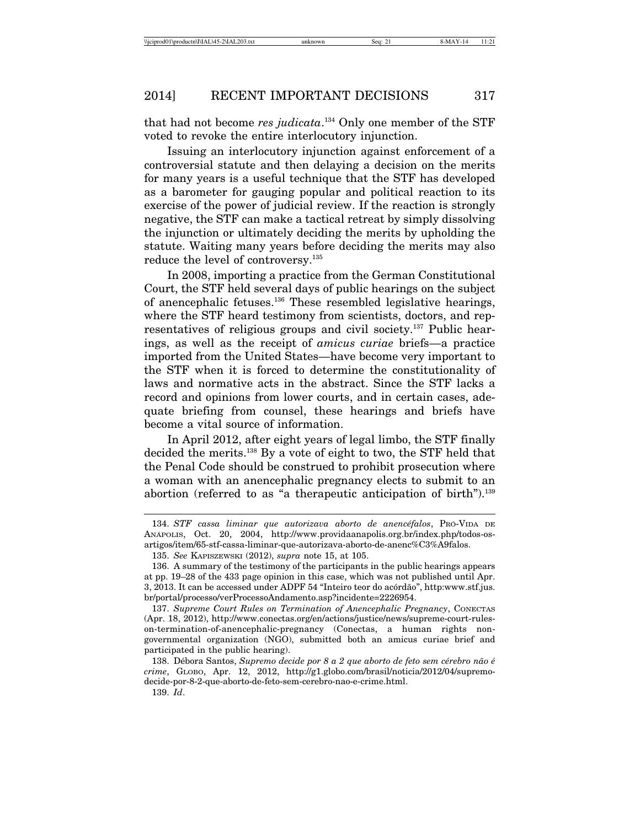that had not become *res judicata*. 134 Only one member of the STF voted to revoke the entire interlocutory injunction.

Issuing an interlocutory injunction against enforcement of a controversial statute and then delaying a decision on the merits for many years is a useful technique that the STF has developed as a barometer for gauging popular and political reaction to its exercise of the power of judicial review. If the reaction is strongly negative, the STF can make a tactical retreat by simply dissolving the injunction or ultimately deciding the merits by upholding the statute. Waiting many years before deciding the merits may also reduce the level of controversy.135

In 2008, importing a practice from the German Constitutional Court, the STF held several days of public hearings on the subject of anencephalic fetuses.136 These resembled legislative hearings, where the STF heard testimony from scientists, doctors, and representatives of religious groups and civil society.<sup>137</sup> Public hearings, as well as the receipt of *amicus curiae* briefs—a practice imported from the United States—have become very important to the STF when it is forced to determine the constitutionality of laws and normative acts in the abstract. Since the STF lacks a record and opinions from lower courts, and in certain cases, adequate briefing from counsel, these hearings and briefs have become a vital source of information.

In April 2012, after eight years of legal limbo, the STF finally decided the merits.138 By a vote of eight to two, the STF held that the Penal Code should be construed to prohibit prosecution where a woman with an anencephalic pregnancy elects to submit to an abortion (referred to as "a therapeutic anticipation of birth").<sup>139</sup>

<sup>134.</sup> *STF cassa liminar que autorizava aborto de anencéfalos*, PRO-VIDA DE ANAPOLIS, Oct. 20, 2004, http://www.providaanapolis.org.br/index.php/todos-osartigos/item/65-stf-cassa-liminar-que-autorizava-aborto-de-anenc%C3%A9falos.

<sup>135.</sup> *See* KAPISZEWSKI (2012), *supra* note 15, at 105.

<sup>136.</sup> A summary of the testimony of the participants in the public hearings appears at pp. 19–28 of the 433 page opinion in this case, which was not published until Apr. 3, 2013. It can be accessed under ADPF 54 "Inteiro teor do acórdão", http:www.stf.jus. br/portal/processo/verProcessoAndamento.asp?incidente=2226954.

<sup>137.</sup> *Supreme Court Rules on Termination of Anencephalic Pregnancy*, CONECTAS (Apr. 18, 2012), http://www.conectas.org/en/actions/justice/news/supreme-court-ruleson-termination-of-anencephalic-pregnancy (Conectas, a human rights nongovernmental organization (NGO), submitted both an amicus curiae brief and participated in the public hearing).

<sup>138.</sup> Débora Santos, Supremo decide por 8 a 2 que aborto de feto sem cérebro não é *crime*, GLOBO, Apr. 12, 2012, http://g1.globo.com/brasil/noticia/2012/04/supremodecide-por-8-2-que-aborto-de-feto-sem-cerebro-nao-e-crime.html.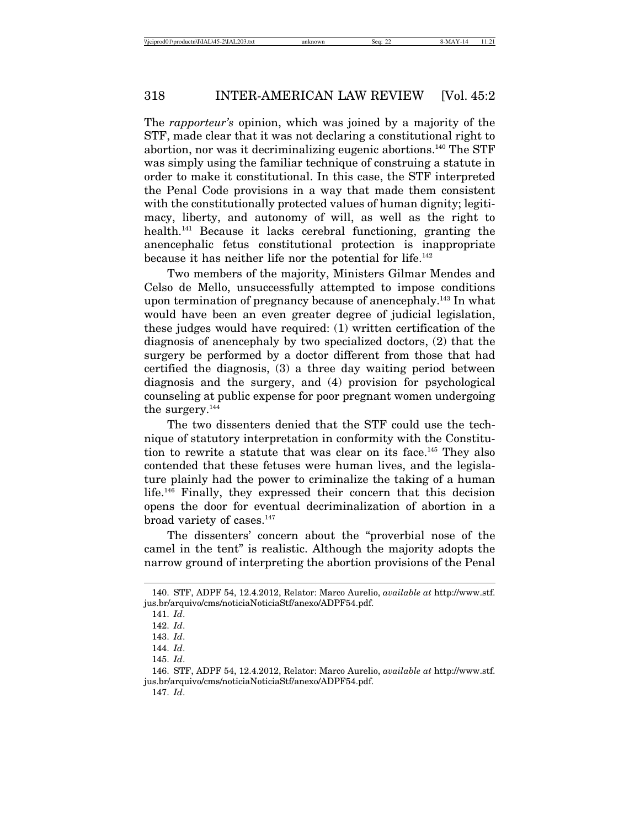The *rapporteur's* opinion, which was joined by a majority of the STF, made clear that it was not declaring a constitutional right to abortion, nor was it decriminalizing eugenic abortions.140 The STF was simply using the familiar technique of construing a statute in order to make it constitutional. In this case, the STF interpreted the Penal Code provisions in a way that made them consistent with the constitutionally protected values of human dignity; legitimacy, liberty, and autonomy of will, as well as the right to health.<sup>141</sup> Because it lacks cerebral functioning, granting the anencephalic fetus constitutional protection is inappropriate because it has neither life nor the potential for life.<sup>142</sup>

Two members of the majority, Ministers Gilmar Mendes and Celso de Mello, unsuccessfully attempted to impose conditions upon termination of pregnancy because of anencephaly.143 In what would have been an even greater degree of judicial legislation, these judges would have required: (1) written certification of the diagnosis of anencephaly by two specialized doctors, (2) that the surgery be performed by a doctor different from those that had certified the diagnosis, (3) a three day waiting period between diagnosis and the surgery, and (4) provision for psychological counseling at public expense for poor pregnant women undergoing the surgery.<sup>144</sup>

The two dissenters denied that the STF could use the technique of statutory interpretation in conformity with the Constitution to rewrite a statute that was clear on its face.145 They also contended that these fetuses were human lives, and the legislature plainly had the power to criminalize the taking of a human life.146 Finally, they expressed their concern that this decision opens the door for eventual decriminalization of abortion in a broad variety of cases.<sup>147</sup>

The dissenters' concern about the "proverbial nose of the camel in the tent" is realistic. Although the majority adopts the narrow ground of interpreting the abortion provisions of the Penal

<sup>140.</sup> STF, ADPF 54, 12.4.2012, Relator: Marco Aurelio, *available at* http://www.stf. jus.br/arquivo/cms/noticiaNoticiaStf/anexo/ADPF54.pdf.

<sup>141.</sup> *Id*.

<sup>142.</sup> *Id*.

<sup>143.</sup> *Id*.

<sup>144.</sup> *Id*.

<sup>145.</sup> *Id*.

<sup>146.</sup> STF, ADPF 54, 12.4.2012, Relator: Marco Aurelio, *available at* http://www.stf. jus.br/arquivo/cms/noticiaNoticiaStf/anexo/ADPF54.pdf. 147. *Id*.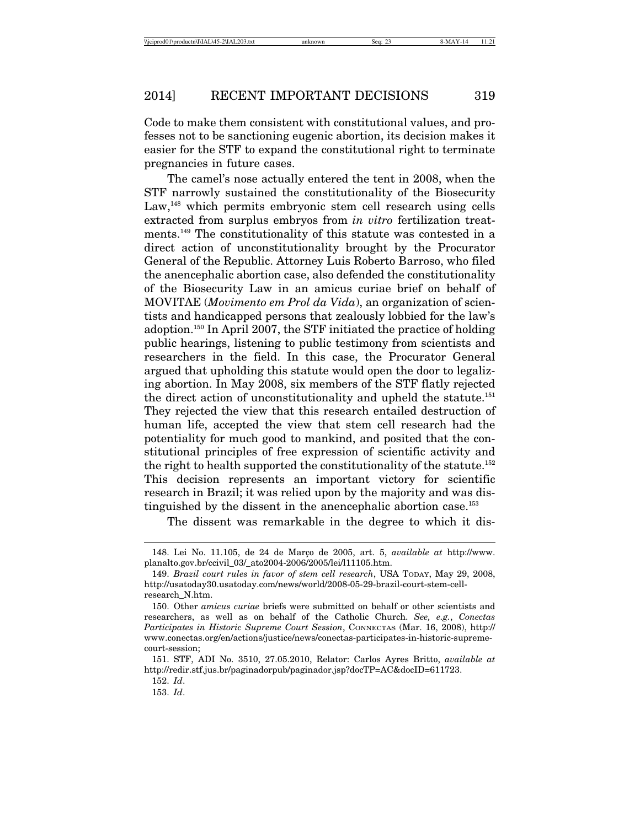Code to make them consistent with constitutional values, and professes not to be sanctioning eugenic abortion, its decision makes it easier for the STF to expand the constitutional right to terminate pregnancies in future cases.

The camel's nose actually entered the tent in 2008, when the STF narrowly sustained the constitutionality of the Biosecurity Law,<sup>148</sup> which permits embryonic stem cell research using cells extracted from surplus embryos from *in vitro* fertilization treatments.149 The constitutionality of this statute was contested in a direct action of unconstitutionality brought by the Procurator General of the Republic. Attorney Luis Roberto Barroso, who filed the anencephalic abortion case, also defended the constitutionality of the Biosecurity Law in an amicus curiae brief on behalf of MOVITAE (*Movimento em Prol da Vida*), an organization of scientists and handicapped persons that zealously lobbied for the law's adoption.150 In April 2007, the STF initiated the practice of holding public hearings, listening to public testimony from scientists and researchers in the field. In this case, the Procurator General argued that upholding this statute would open the door to legalizing abortion. In May 2008, six members of the STF flatly rejected the direct action of unconstitutionality and upheld the statute.<sup>151</sup> They rejected the view that this research entailed destruction of human life, accepted the view that stem cell research had the potentiality for much good to mankind, and posited that the constitutional principles of free expression of scientific activity and the right to health supported the constitutionality of the statute.152 This decision represents an important victory for scientific research in Brazil; it was relied upon by the majority and was distinguished by the dissent in the anencephalic abortion case.<sup>153</sup>

The dissent was remarkable in the degree to which it dis-

<sup>148.</sup> Lei No. 11.105, de 24 de Março de 2005, art. 5, *available at* http://www. planalto.gov.br/ccivil\_03/\_ato2004-2006/2005/lei/l11105.htm.

<sup>149.</sup> *Brazil court rules in favor of stem cell research*, USA TODAY, May 29, 2008, http://usatoday30.usatoday.com/news/world/2008-05-29-brazil-court-stem-cellresearch\_N.htm.

<sup>150.</sup> Other *amicus curiae* briefs were submitted on behalf or other scientists and researchers, as well as on behalf of the Catholic Church. *See, e.g.*, *Conectas Participates in Historic Supreme Court Session*, CONNECTAS (Mar. 16, 2008), http:// www.conectas.org/en/actions/justice/news/conectas-participates-in-historic-supremecourt-session;

<sup>151.</sup> STF, ADI No. 3510, 27.05.2010, Relator: Carlos Ayres Britto, *available at* http://redir.stf.jus.br/paginadorpub/paginador.jsp?docTP=AC&docID=611723.

<sup>152.</sup> *Id*.

<sup>153.</sup> *Id*.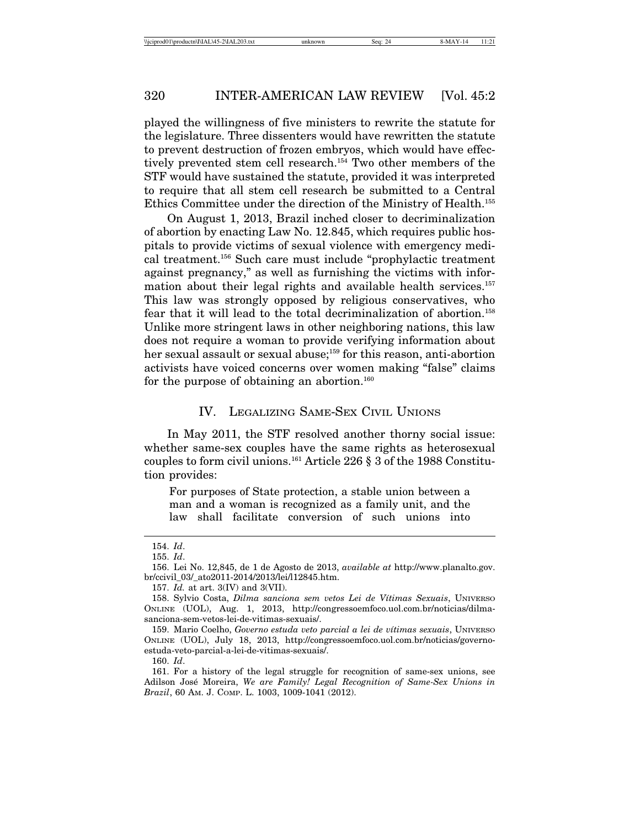played the willingness of five ministers to rewrite the statute for the legislature. Three dissenters would have rewritten the statute to prevent destruction of frozen embryos, which would have effectively prevented stem cell research.<sup>154</sup> Two other members of the STF would have sustained the statute, provided it was interpreted to require that all stem cell research be submitted to a Central Ethics Committee under the direction of the Ministry of Health.155

On August 1, 2013, Brazil inched closer to decriminalization of abortion by enacting Law No. 12.845, which requires public hospitals to provide victims of sexual violence with emergency medical treatment.156 Such care must include "prophylactic treatment against pregnancy," as well as furnishing the victims with information about their legal rights and available health services.<sup>157</sup> This law was strongly opposed by religious conservatives, who fear that it will lead to the total decriminalization of abortion.158 Unlike more stringent laws in other neighboring nations, this law does not require a woman to provide verifying information about her sexual assault or sexual abuse;<sup>159</sup> for this reason, anti-abortion activists have voiced concerns over women making "false" claims for the purpose of obtaining an abortion.<sup>160</sup>

# IV. LEGALIZING SAME-SEX CIVIL UNIONS

In May 2011, the STF resolved another thorny social issue: whether same-sex couples have the same rights as heterosexual couples to form civil unions.<sup>161</sup> Article 226  $\S$  3 of the 1988 Constitution provides:

For purposes of State protection, a stable union between a man and a woman is recognized as a family unit, and the law shall facilitate conversion of such unions into

<sup>154.</sup> *Id*.

<sup>155.</sup> *Id*.

<sup>156.</sup> Lei No. 12,845, de 1 de Agosto de 2013, *available at* http://www.planalto.gov. br/ccivil\_03/\_ato2011-2014/2013/lei/l12845.htm.

<sup>157.</sup> *Id.* at art. 3(IV) and 3(VII).

<sup>158.</sup> Sylvio Costa, *Dilma sanciona sem vetos Lei de V´ıtimas Sexuais*, UNIVERSO ONLINE (UOL), Aug. 1, 2013, http://congressoemfoco.uol.com.br/noticias/dilmasanciona-sem-vetos-lei-de-vitimas-sexuais/.

<sup>159.</sup> Mario Coelho, *Governo estuda veto parcial a lei de v´ıtimas sexuais*, UNIVERSO ONLINE (UOL), July 18, 2013, http://congressoemfoco.uol.com.br/noticias/governoestuda-veto-parcial-a-lei-de-vitimas-sexuais/.

<sup>160.</sup> *Id*.

<sup>161.</sup> For a history of the legal struggle for recognition of same-sex unions, see Adilson Jos´e Moreira, *We are Family! Legal Recognition of Same-Sex Unions in Brazil*, 60 AM. J. COMP. L. 1003, 1009-1041 (2012).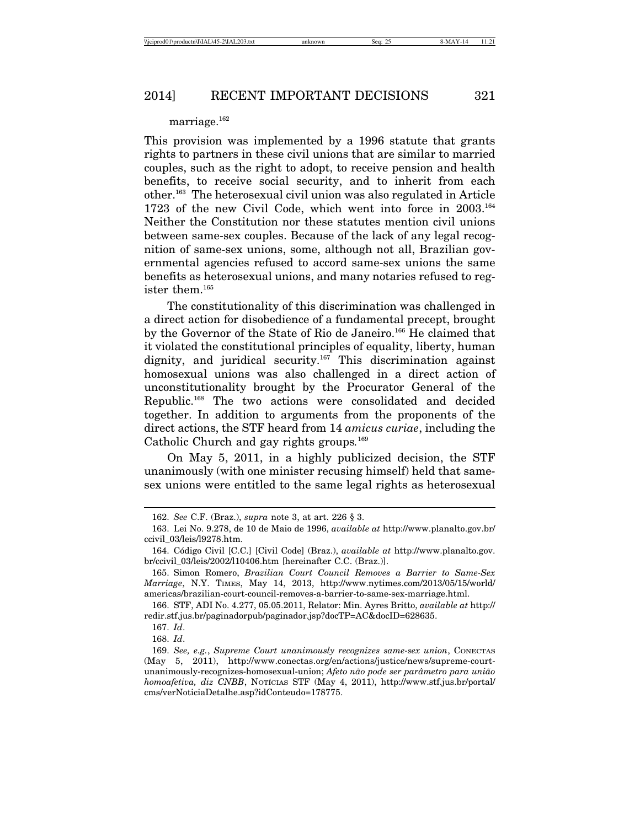#### marriage.<sup>162</sup>

This provision was implemented by a 1996 statute that grants rights to partners in these civil unions that are similar to married couples, such as the right to adopt, to receive pension and health benefits, to receive social security, and to inherit from each other.163 The heterosexual civil union was also regulated in Article 1723 of the new Civil Code, which went into force in 2003.164 Neither the Constitution nor these statutes mention civil unions between same-sex couples. Because of the lack of any legal recognition of same-sex unions, some, although not all, Brazilian governmental agencies refused to accord same-sex unions the same benefits as heterosexual unions, and many notaries refused to register them.165

The constitutionality of this discrimination was challenged in a direct action for disobedience of a fundamental precept, brought by the Governor of the State of Rio de Janeiro.<sup>166</sup> He claimed that it violated the constitutional principles of equality, liberty, human dignity, and juridical security.<sup>167</sup> This discrimination against homosexual unions was also challenged in a direct action of unconstitutionality brought by the Procurator General of the Republic.168 The two actions were consolidated and decided together. In addition to arguments from the proponents of the direct actions, the STF heard from 14 *amicus curiae*, including the Catholic Church and gay rights groups*.* 169

On May 5, 2011, in a highly publicized decision, the STF unanimously (with one minister recusing himself) held that samesex unions were entitled to the same legal rights as heterosexual

<sup>162.</sup> *See* C.F. (Braz.), *supra* note 3, at art. 226 § 3.

<sup>163.</sup> Lei No. 9.278, de 10 de Maio de 1996, *available at* http://www.planalto.gov.br/ ccivil\_03/leis/l9278.htm.

<sup>164.</sup> C´odigo Civil [C.C.] [Civil Code] (Braz.), *available at* http://www.planalto.gov. br/ccivil\_03/leis/2002/l10406.htm [hereinafter C.C. (Braz.)].

<sup>165.</sup> Simon Romero, *Brazilian Court Council Removes a Barrier to Same-Sex Marriage*, N.Y. TIMES, May 14, 2013, http://www.nytimes.com/2013/05/15/world/ americas/brazilian-court-council-removes-a-barrier-to-same-sex-marriage.html.

<sup>166.</sup> STF, ADI No. 4.277, 05.05.2011, Relator: Min. Ayres Britto, *available at* http:// redir.stf.jus.br/paginadorpub/paginador.jsp?docTP=AC&docID=628635.

<sup>167.</sup> *Id*.

<sup>168.</sup> *Id*.

<sup>169.</sup> *See, e.g.*, *Supreme Court unanimously recognizes same-sex union*, CONECTAS (May 5, 2011), http://www.conectas.org/en/actions/justice/news/supreme-courtunanimously-recognizes-homosexual-union; *Afeto não pode ser parâmetro para união homoafetiva, diz CNBB*, Norícias STF (May 4, 2011), http://www.stf.jus.br/portal/ cms/verNoticiaDetalhe.asp?idConteudo=178775.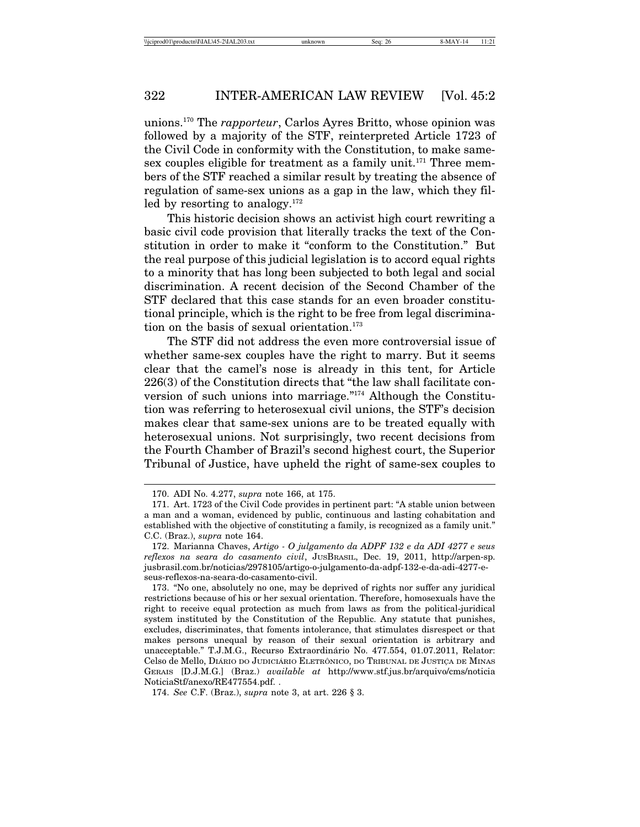unions.170 The *rapporteur*, Carlos Ayres Britto, whose opinion was followed by a majority of the STF, reinterpreted Article 1723 of the Civil Code in conformity with the Constitution, to make samesex couples eligible for treatment as a family unit.<sup>171</sup> Three members of the STF reached a similar result by treating the absence of regulation of same-sex unions as a gap in the law, which they filled by resorting to analogy.<sup>172</sup>

This historic decision shows an activist high court rewriting a basic civil code provision that literally tracks the text of the Constitution in order to make it "conform to the Constitution." But the real purpose of this judicial legislation is to accord equal rights to a minority that has long been subjected to both legal and social discrimination. A recent decision of the Second Chamber of the STF declared that this case stands for an even broader constitutional principle, which is the right to be free from legal discrimination on the basis of sexual orientation.<sup>173</sup>

The STF did not address the even more controversial issue of whether same-sex couples have the right to marry. But it seems clear that the camel's nose is already in this tent, for Article 226(3) of the Constitution directs that "the law shall facilitate conversion of such unions into marriage."174 Although the Constitution was referring to heterosexual civil unions, the STF's decision makes clear that same-sex unions are to be treated equally with heterosexual unions. Not surprisingly, two recent decisions from the Fourth Chamber of Brazil's second highest court, the Superior Tribunal of Justice, have upheld the right of same-sex couples to

<sup>170.</sup> ADI No. 4.277, *supra* note 166, at 175.

<sup>171.</sup> Art. 1723 of the Civil Code provides in pertinent part: "A stable union between a man and a woman, evidenced by public, continuous and lasting cohabitation and established with the objective of constituting a family, is recognized as a family unit." C.C. (Braz.), *supra* note 164.

<sup>172.</sup> Marianna Chaves, *Artigo - O julgamento da ADPF 132 e da ADI 4277 e seus reflexos na seara do casamento civil*, JUSBRASIL, Dec. 19, 2011, http://arpen-sp. jusbrasil.com.br/noticias/2978105/artigo-o-julgamento-da-adpf-132-e-da-adi-4277-eseus-reflexos-na-seara-do-casamento-civil.

<sup>173. &</sup>quot;No one, absolutely no one, may be deprived of rights nor suffer any juridical restrictions because of his or her sexual orientation. Therefore, homosexuals have the right to receive equal protection as much from laws as from the political-juridical system instituted by the Constitution of the Republic. Any statute that punishes, excludes, discriminates, that foments intolerance, that stimulates disrespect or that makes persons unequal by reason of their sexual orientation is arbitrary and unacceptable." T.J.M.G., Recurso Extraordinário No. 477.554, 01.07.2011, Relator: Celso de Mello, DIÁRIO DO JUDICIÁRIO ELETRÔNICO, DO TRIBUNAL DE JUSTIÇA DE MINAS GERAIS [D.J.M.G.] (Braz.) *available at* http://www.stf.jus.br/arquivo/cms/noticia NoticiaStf/anexo/RE477554.pdf. .

<sup>174.</sup> *See* C.F. (Braz.), *supra* note 3, at art. 226 § 3.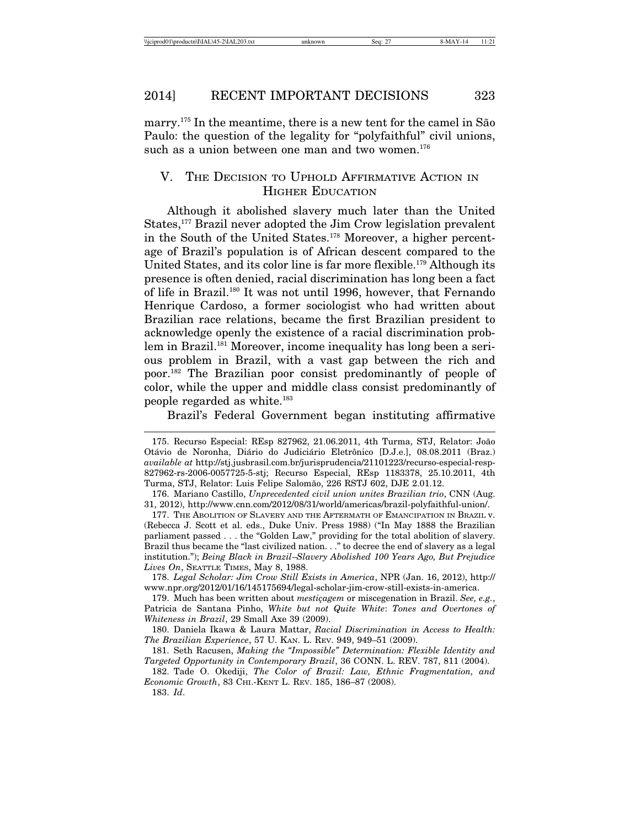marry.<sup>175</sup> In the meantime, there is a new tent for the camel in São Paulo: the question of the legality for "polyfaithful" civil unions, such as a union between one man and two women.<sup>176</sup>

# V. THE DECISION TO UPHOLD AFFIRMATIVE ACTION IN HIGHER EDUCATION

Although it abolished slavery much later than the United States,<sup>177</sup> Brazil never adopted the Jim Crow legislation prevalent in the South of the United States.178 Moreover, a higher percentage of Brazil's population is of African descent compared to the United States, and its color line is far more flexible.<sup>179</sup> Although its presence is often denied, racial discrimination has long been a fact of life in Brazil.180 It was not until 1996, however, that Fernando Henrique Cardoso, a former sociologist who had written about Brazilian race relations, became the first Brazilian president to acknowledge openly the existence of a racial discrimination problem in Brazil.<sup>181</sup> Moreover, income inequality has long been a serious problem in Brazil, with a vast gap between the rich and poor.182 The Brazilian poor consist predominantly of people of color, while the upper and middle class consist predominantly of people regarded as white.183

Brazil's Federal Government began instituting affirmative

<sup>175.</sup> Recurso Especial: REsp 827962, 21.06.2011, 4th Turma, STJ, Relator: João Otávio de Noronha, Diário do Judiciário Eletrônico [D.J.e.], 08.08.2011 (Braz.) *available at* http://stj.jusbrasil.com.br/jurisprudencia/21101223/recurso-especial-resp-827962-rs-2006-0057725-5-stj; Recurso Especial, REsp 1183378, 25.10.2011, 4th Turma, STJ, Relator: Luis Felipe Salomão, 226 RSTJ 602, DJE 2.01.12.

<sup>176.</sup> Mariano Castillo, *Unprecedented civil union unites Brazilian trio*, CNN (Aug. 31, 2012), http://www.cnn.com/2012/08/31/world/americas/brazil-polyfaithful-union/.

<sup>177.</sup> THE ABOLITION OF SLAVERY AND THE AFTERMATH OF EMANCIPATION IN BRAZIL v. (Rebecca J. Scott et al. eds., Duke Univ. Press 1988) ("In May 1888 the Brazilian parliament passed . . . the "Golden Law," providing for the total abolition of slavery. Brazil thus became the "last civilized nation. . ." to decree the end of slavery as a legal institution."); *Being Black in Brazil*–*Slavery Abolished 100 Years Ago, But Prejudice Lives On*, SEATTLE TIMES, May 8, 1988.

<sup>178.</sup> *Legal Scholar: Jim Crow Still Exists in America*, NPR (Jan. 16, 2012), http:// www.npr.org/2012/01/16/145175694/legal-scholar-jim-crow-still-exists-in-america.

<sup>179.</sup> Much has been written about *mestiçagem* or miscegenation in Brazil. *See, e.g.*, Patricia de Santana Pinho, *White but not Quite White*: *Tones and Overtones of Whiteness in Brazil*, 29 Small Axe 39 (2009).

<sup>180.</sup> Daniela Ikawa & Laura Mattar, *Racial Discrimination in Access to Health: The Brazilian Experience*, 57 U. KAN. L. REV. 949, 949–51 (2009).

<sup>181.</sup> Seth Racusen, *Making the "Impossible" Determination: Flexible Identity and Targeted Opportunity in Contemporary Brazil*, 36 CONN. L. REV. 787, 811 (2004).

<sup>182.</sup> Tade O. Okediji, *The Color of Brazil: Law, Ethnic Fragmentation, and Economic Growth*, 83 CHI.-KENT L. REV. 185, 186–87 (2008). 183. *Id*.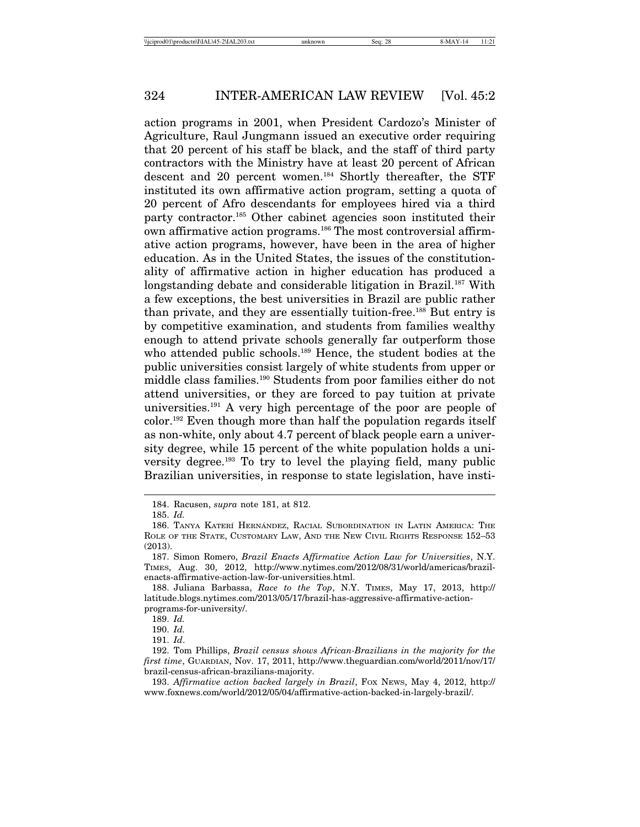action programs in 2001, when President Cardozo's Minister of Agriculture, Raul Jungmann issued an executive order requiring that 20 percent of his staff be black, and the staff of third party contractors with the Ministry have at least 20 percent of African descent and 20 percent women.<sup>184</sup> Shortly thereafter, the STF instituted its own affirmative action program, setting a quota of 20 percent of Afro descendants for employees hired via a third party contractor.185 Other cabinet agencies soon instituted their own affirmative action programs.186 The most controversial affirmative action programs, however, have been in the area of higher education. As in the United States, the issues of the constitutionality of affirmative action in higher education has produced a longstanding debate and considerable litigation in Brazil.<sup>187</sup> With a few exceptions, the best universities in Brazil are public rather than private, and they are essentially tuition-free.188 But entry is by competitive examination, and students from families wealthy enough to attend private schools generally far outperform those who attended public schools.<sup>189</sup> Hence, the student bodies at the public universities consist largely of white students from upper or middle class families.190 Students from poor families either do not attend universities, or they are forced to pay tuition at private universities.191 A very high percentage of the poor are people of color.192 Even though more than half the population regards itself as non-white, only about 4.7 percent of black people earn a university degree, while 15 percent of the white population holds a university degree.193 To try to level the playing field, many public Brazilian universities, in response to state legislation, have insti-

<sup>184.</sup> Racusen, *supra* note 181, at 812.

<sup>185.</sup> *Id.*

<sup>186.</sup> TANYA KATERÍ HERNÁNDEZ, RACIAL SUBORDINATION IN LATIN AMERICA: THE ROLE OF THE STATE, CUSTOMARY LAW, AND THE NEW CIVIL RIGHTS RESPONSE 152–53 (2013).

<sup>187.</sup> Simon Romero, *Brazil Enacts Affirmative Action Law for Universities*, N.Y. TIMES, Aug. 30, 2012, http://www.nytimes.com/2012/08/31/world/americas/brazilenacts-affirmative-action-law-for-universities.html.

<sup>188.</sup> Juliana Barbassa, *Race to the Top*, N.Y. TIMES, May 17, 2013, http:// latitude.blogs.nytimes.com/2013/05/17/brazil-has-aggressive-affirmative-actionprograms-for-university/.

<sup>189.</sup> *Id.*

<sup>190.</sup> *Id.*

<sup>191.</sup> *Id*.

<sup>192.</sup> Tom Phillips, *Brazil census shows African-Brazilians in the majority for the first time*, GUARDIAN, Nov. 17, 2011, http://www.theguardian.com/world/2011/nov/17/ brazil-census-african-brazilians-majority.

<sup>193.</sup> *Affirmative action backed largely in Brazil*, FOX NEWS, May 4, 2012, http:// www.foxnews.com/world/2012/05/04/affirmative-action-backed-in-largely-brazil/.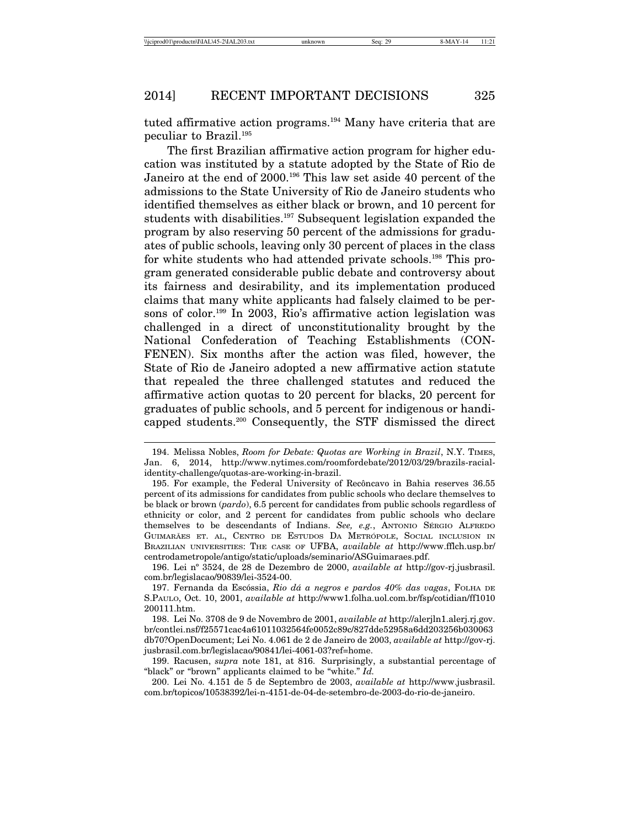tuted affirmative action programs.194 Many have criteria that are peculiar to Brazil.195

The first Brazilian affirmative action program for higher education was instituted by a statute adopted by the State of Rio de Janeiro at the end of 2000.<sup>196</sup> This law set aside 40 percent of the admissions to the State University of Rio de Janeiro students who identified themselves as either black or brown, and 10 percent for students with disabilities.<sup>197</sup> Subsequent legislation expanded the program by also reserving 50 percent of the admissions for graduates of public schools, leaving only 30 percent of places in the class for white students who had attended private schools.<sup>198</sup> This program generated considerable public debate and controversy about its fairness and desirability, and its implementation produced claims that many white applicants had falsely claimed to be persons of color.<sup>199</sup> In 2003, Rio's affirmative action legislation was challenged in a direct of unconstitutionality brought by the National Confederation of Teaching Establishments (CON-FENEN). Six months after the action was filed, however, the State of Rio de Janeiro adopted a new affirmative action statute that repealed the three challenged statutes and reduced the affirmative action quotas to 20 percent for blacks, 20 percent for graduates of public schools, and 5 percent for indigenous or handicapped students.200 Consequently, the STF dismissed the direct

196. Lei nº 3524, de 28 de Dezembro de 2000, *available at* http://gov-rj.jusbrasil. com.br/legislacao/90839/lei-3524-00.

<sup>194.</sup> Melissa Nobles, *Room for Debate: Quotas are Working in Brazil*, N.Y. TIMES, Jan. 6, 2014, http://www.nytimes.com/roomfordebate/2012/03/29/brazils-racialidentity-challenge/quotas-are-working-in-brazil.

<sup>195.</sup> For example, the Federal University of Recôncavo in Bahia reserves 36.55 percent of its admissions for candidates from public schools who declare themselves to be black or brown (*pardo*), 6.5 percent for candidates from public schools regardless of ethnicity or color, and 2 percent for candidates from public schools who declare themselves to be descendants of Indians. See, e.g., ANTONIO SERGIO ALFREDO GUIMARÃES ET. AL, CENTRO DE ESTUDOS DA METRÓPOLE, SOCIAL INCLUSION IN BRAZILIAN UNIVERSITIES: THE CASE OF UFBA, *available at* http://www.fflch.usp.br/ centrodametropole/antigo/static/uploads/seminario/ASGuimaraes.pdf.

<sup>197.</sup> Fernanda da Esc´ossia, *Rio d´a a negros e pardos 40% das vagas*, FOLHA DE S.PAULO, Oct. 10, 2001, *available at* http://www1.folha.uol.com.br/fsp/cotidian/ff1010 200111.htm.

<sup>198.</sup> Lei No. 3708 de 9 de Novembro de 2001, *available at* http://alerjln1.alerj.rj.gov. br/contlei.nsf/f25571cac4a61011032564fe0052c89c/827dde52958a6dd203256b030063 db70?OpenDocument; Lei No. 4.061 de 2 de Janeiro de 2003, *available at* http://gov-rj. jusbrasil.com.br/legislacao/90841/lei-4061-03?ref=home.

<sup>199.</sup> Racusen, *supra* note 181, at 816. Surprisingly, a substantial percentage of "black" or "brown" applicants claimed to be "white." *Id.*

<sup>200.</sup> Lei No. 4.151 de 5 de Septembro de 2003, *available at* http://www.jusbrasil. com.br/topicos/10538392/lei-n-4151-de-04-de-setembro-de-2003-do-rio-de-janeiro.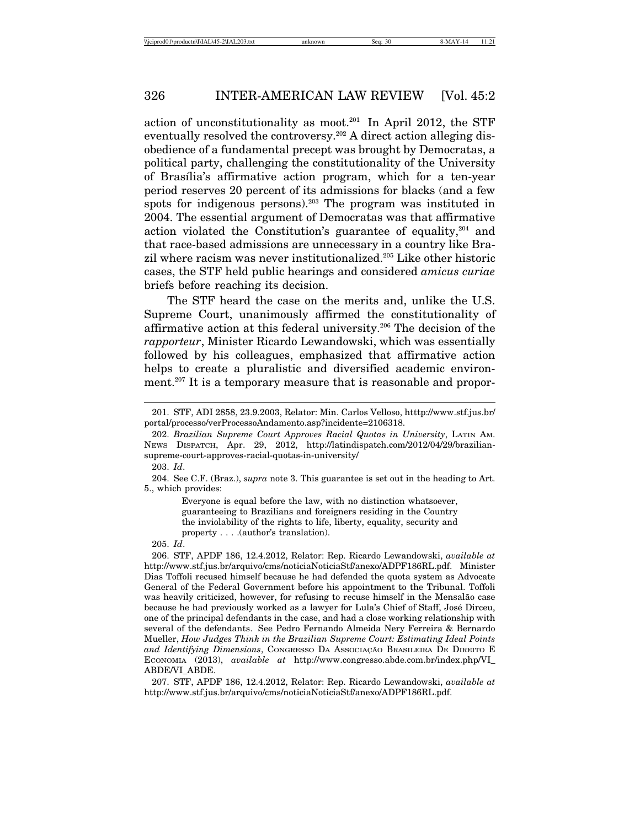action of unconstitutionality as moot.<sup>201</sup> In April 2012, the STF eventually resolved the controversy.<sup>202</sup> A direct action alleging disobedience of a fundamental precept was brought by Democratas, a political party, challenging the constitutionality of the University of Brasília's affirmative action program, which for a ten-year period reserves 20 percent of its admissions for blacks (and a few spots for indigenous persons).<sup>203</sup> The program was instituted in 2004. The essential argument of Democratas was that affirmative action violated the Constitution's guarantee of equality,  $204$  and that race-based admissions are unnecessary in a country like Brazil where racism was never institutionalized.205 Like other historic cases, the STF held public hearings and considered *amicus curiae* briefs before reaching its decision.

The STF heard the case on the merits and, unlike the U.S. Supreme Court, unanimously affirmed the constitutionality of affirmative action at this federal university.206 The decision of the *rapporteur*, Minister Ricardo Lewandowski, which was essentially followed by his colleagues, emphasized that affirmative action helps to create a pluralistic and diversified academic environment.207 It is a temporary measure that is reasonable and propor-

203. *Id*.

Everyone is equal before the law, with no distinction whatsoever, guaranteeing to Brazilians and foreigners residing in the Country the inviolability of the rights to life, liberty, equality, security and property . . . .(author's translation).

205. *Id*.

206. STF, APDF 186, 12.4.2012, Relator: Rep. Ricardo Lewandowski, *available at* http://www.stf.jus.br/arquivo/cms/noticiaNoticiaStf/anexo/ADPF186RL.pdf. Minister Dias Toffoli recused himself because he had defended the quota system as Advocate General of the Federal Government before his appointment to the Tribunal. Toffoli was heavily criticized, however, for refusing to recuse himself in the Mensalão case because he had previously worked as a lawyer for Lula's Chief of Staff, José Dirceu, one of the principal defendants in the case, and had a close working relationship with several of the defendants. See Pedro Fernando Almeida Nery Ferreira & Bernardo Mueller, *How Judges Think in the Brazilian Supreme Court: Estimating Ideal Points* and Identifying Dimensions, CONGRESSO DA ASSOCIAÇÃO BRASILEIRA DE DIREITO E ECONOMIA (2013), *available at* http://www.congresso.abde.com.br/index.php/VI\_ ABDE/VI\_ABDE.

207. STF, APDF 186, 12.4.2012, Relator: Rep. Ricardo Lewandowski, *available at* http://www.stf.jus.br/arquivo/cms/noticiaNoticiaStf/anexo/ADPF186RL.pdf.

<sup>201.</sup> STF, ADI 2858, 23.9.2003, Relator: Min. Carlos Velloso, htttp://www.stf.jus.br/ portal/processo/verProcessoAndamento.asp?incidente=2106318.

<sup>202.</sup> *Brazilian Supreme Court Approves Racial Quotas in University*, LATIN AM. NEWS DISPATCH, Apr. 29, 2012, http://latindispatch.com/2012/04/29/braziliansupreme-court-approves-racial-quotas-in-university/

<sup>204.</sup> See C.F. (Braz.), *supra* note 3. This guarantee is set out in the heading to Art. 5., which provides: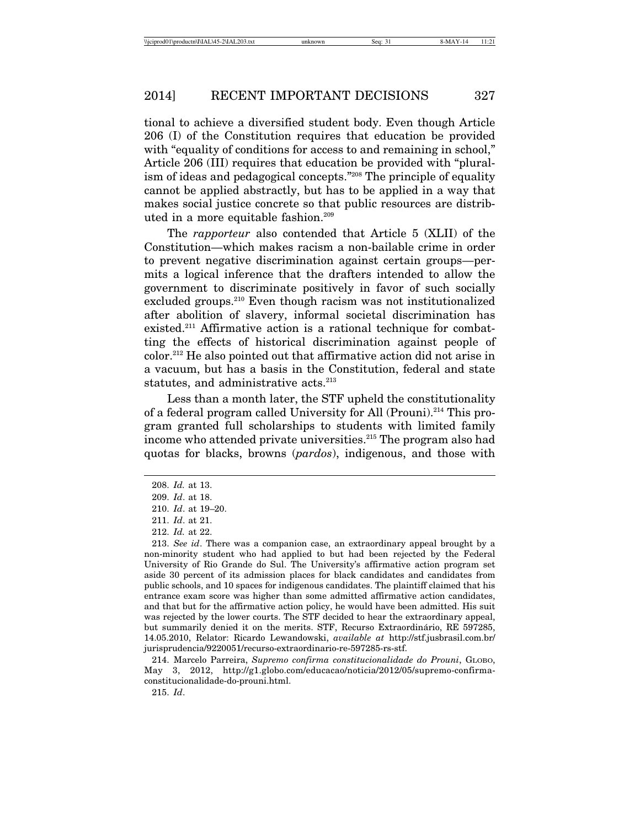tional to achieve a diversified student body. Even though Article 206 (I) of the Constitution requires that education be provided with "equality of conditions for access to and remaining in school," Article 206 (III) requires that education be provided with "pluralism of ideas and pedagogical concepts."<sup>208</sup> The principle of equality cannot be applied abstractly, but has to be applied in a way that makes social justice concrete so that public resources are distributed in a more equitable fashion.<sup>209</sup>

The *rapporteur* also contended that Article 5 (XLII) of the Constitution—which makes racism a non-bailable crime in order to prevent negative discrimination against certain groups—permits a logical inference that the drafters intended to allow the government to discriminate positively in favor of such socially excluded groups.<sup>210</sup> Even though racism was not institutionalized after abolition of slavery, informal societal discrimination has existed.<sup>211</sup> Affirmative action is a rational technique for combatting the effects of historical discrimination against people of color.212 He also pointed out that affirmative action did not arise in a vacuum, but has a basis in the Constitution, federal and state statutes, and administrative acts.<sup>213</sup>

Less than a month later, the STF upheld the constitutionality of a federal program called University for All (Prouni).214 This program granted full scholarships to students with limited family income who attended private universities.215 The program also had quotas for blacks, browns (*pardos*), indigenous, and those with

214. Marcelo Parreira, *Supremo confirma constitucionalidade do Prouni*, GLOBO, May 3, 2012, http://g1.globo.com/educacao/noticia/2012/05/supremo-confirmaconstitucionalidade-do-prouni.html.

215. *Id*.

<sup>208.</sup> *Id.* at 13.

<sup>209.</sup> *Id*. at 18.

<sup>210.</sup> *Id*. at 19–20.

<sup>211.</sup> *Id*. at 21.

<sup>212.</sup> *Id.* at 22.

<sup>213.</sup> *See id*. There was a companion case, an extraordinary appeal brought by a non-minority student who had applied to but had been rejected by the Federal University of Rio Grande do Sul. The University's affirmative action program set aside 30 percent of its admission places for black candidates and candidates from public schools, and 10 spaces for indigenous candidates. The plaintiff claimed that his entrance exam score was higher than some admitted affirmative action candidates, and that but for the affirmative action policy, he would have been admitted. His suit was rejected by the lower courts. The STF decided to hear the extraordinary appeal, but summarily denied it on the merits. STF, Recurso Extraordinário, RE 597285, 14.05.2010, Relator: Ricardo Lewandowski, *available at* http://stf.jusbrasil.com.br/ jurisprudencia/9220051/recurso-extraordinario-re-597285-rs-stf.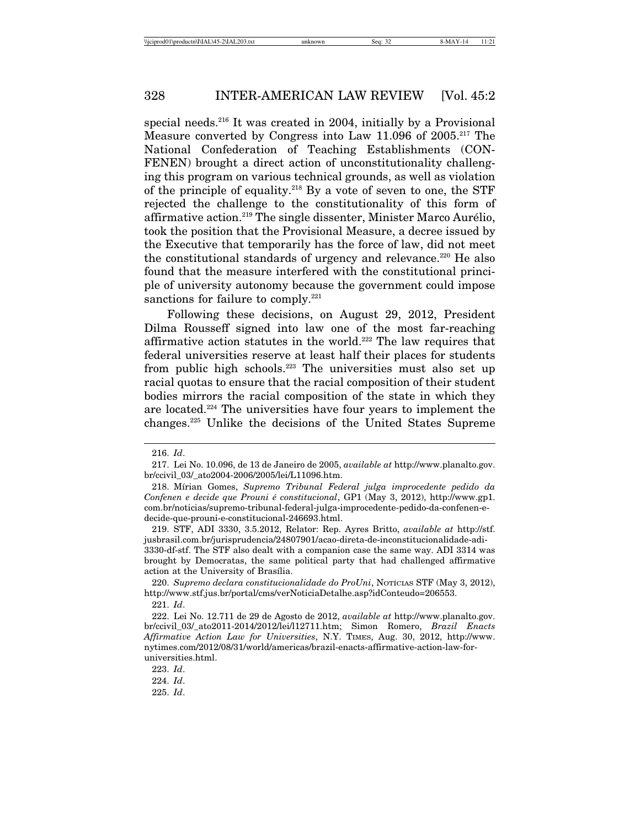special needs.<sup>216</sup> It was created in 2004, initially by a Provisional Measure converted by Congress into Law 11.096 of 2005.217 The National Confederation of Teaching Establishments (CON-FENEN) brought a direct action of unconstitutionality challenging this program on various technical grounds, as well as violation of the principle of equality.218 By a vote of seven to one, the STF rejected the challenge to the constitutionality of this form of affirmative action.<sup>219</sup> The single dissenter, Minister Marco Aurélio, took the position that the Provisional Measure, a decree issued by the Executive that temporarily has the force of law, did not meet the constitutional standards of urgency and relevance.<sup>220</sup> He also found that the measure interfered with the constitutional principle of university autonomy because the government could impose sanctions for failure to comply.<sup>221</sup>

Following these decisions, on August 29, 2012, President Dilma Rousseff signed into law one of the most far-reaching affirmative action statutes in the world.222 The law requires that federal universities reserve at least half their places for students from public high schools.223 The universities must also set up racial quotas to ensure that the racial composition of their student bodies mirrors the racial composition of the state in which they are located.224 The universities have four years to implement the changes.225 Unlike the decisions of the United States Supreme

220. *Supremo declara constitucionalidade do ProUni*, Norícus STF (May 3, 2012), http://www.stf.jus.br/portal/cms/verNoticiaDetalhe.asp?idConteudo=206553.

221. *Id*.

<sup>216.</sup> *Id*.

<sup>217.</sup> Lei No. 10.096, de 13 de Janeiro de 2005, *available at* http://www.planalto.gov. br/ccivil\_03/\_ato2004-2006/2005/lei/L11096.htm.

<sup>218.</sup> M´ırian Gomes, *Supremo Tribunal Federal julga improcedente pedido da Confenen e decide que Prouni é constitucional*, GP1 (May 3, 2012), http://www.gp1. com.br/noticias/supremo-tribunal-federal-julga-improcedente-pedido-da-confenen-edecide-que-prouni-e-constitucional-246693.html.

<sup>219.</sup> STF, ADI 3330, 3.5.2012, Relator: Rep. Ayres Britto, *available at* http://stf. jusbrasil.com.br/jurisprudencia/24807901/acao-direta-de-inconstitucionalidade-adi-3330-df-stf. The STF also dealt with a companion case the same way. ADI 3314 was brought by Democratas, the same political party that had challenged affirmative action at the University of Brasília.

<sup>222.</sup> Lei No. 12.711 de 29 de Agosto de 2012, *available at* http://www.planalto.gov. br/ccivil\_03/\_ato2011-2014/2012/lei/l12711.htm; Simon Romero, *Brazil Enacts Affirmative Action Law for Universities*, N.Y. TIMES, Aug. 30, 2012, http://www. nytimes.com/2012/08/31/world/americas/brazil-enacts-affirmative-action-law-foruniversities.html.

<sup>223.</sup> *Id*.

<sup>224.</sup> *Id*.

<sup>225.</sup> *Id*.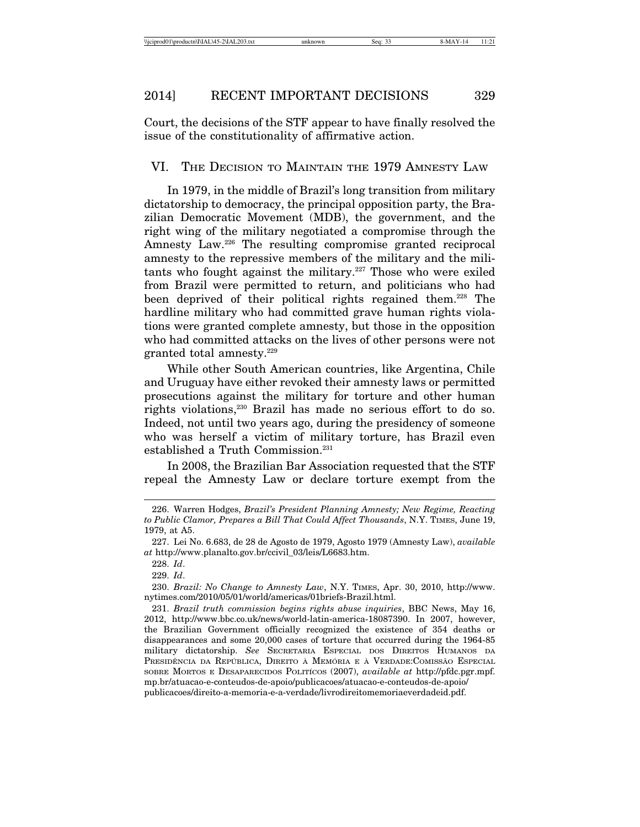Court, the decisions of the STF appear to have finally resolved the issue of the constitutionality of affirmative action.

## VI. THE DECISION TO MAINTAIN THE 1979 AMNESTY LAW

In 1979, in the middle of Brazil's long transition from military dictatorship to democracy, the principal opposition party, the Brazilian Democratic Movement (MDB), the government, and the right wing of the military negotiated a compromise through the Amnesty Law.226 The resulting compromise granted reciprocal amnesty to the repressive members of the military and the militants who fought against the military. $227$  Those who were exiled from Brazil were permitted to return, and politicians who had been deprived of their political rights regained them.<sup>228</sup> The hardline military who had committed grave human rights violations were granted complete amnesty, but those in the opposition who had committed attacks on the lives of other persons were not granted total amnesty.229

While other South American countries, like Argentina, Chile and Uruguay have either revoked their amnesty laws or permitted prosecutions against the military for torture and other human rights violations,<sup>230</sup> Brazil has made no serious effort to do so. Indeed, not until two years ago, during the presidency of someone who was herself a victim of military torture, has Brazil even established a Truth Commission.<sup>231</sup>

In 2008, the Brazilian Bar Association requested that the STF repeal the Amnesty Law or declare torture exempt from the

<sup>226.</sup> Warren Hodges, *Brazil's President Planning Amnesty; New Regime, Reacting to Public Clamor, Prepares a Bill That Could Affect Thousands*, N.Y. TIMES, June 19, 1979, at A5.

<sup>227.</sup> Lei No. 6.683, de 28 de Agosto de 1979, Agosto 1979 (Amnesty Law), *available at* http://www.planalto.gov.br/ccivil\_03/leis/L6683.htm.

<sup>228.</sup> *Id*.

<sup>229.</sup> *Id*.

<sup>230.</sup> *Brazil: No Change to Amnesty Law*, N.Y. TIMES, Apr. 30, 2010, http://www. nytimes.com/2010/05/01/world/americas/01briefs-Brazil.html.

<sup>231.</sup> *Brazil truth commission begins rights abuse inquiries*, BBC News, May 16, 2012, http://www.bbc.co.uk/news/world-latin-america-18087390. In 2007, however, the Brazilian Government officially recognized the existence of 354 deaths or disappearances and some 20,000 cases of torture that occurred during the 1964-85 military dictatorship. *See* SECRETARIA ESPECIAL DOS DIREITOS HUMANOS DA PRESIDÊNCIA DA REPÚBLICA, DIREITO À MEMÓRIA E À VERDADE:COMISSÃO ESPECIAL SOBRE MORTOS E DESAPARECIDOS POLITÍCOS (2007), *available at* http://pfdc.pgr.mpf. mp.br/atuacao-e-conteudos-de-apoio/publicacoes/atuacao-e-conteudos-de-apoio/ publicacoes/direito-a-memoria-e-a-verdade/livrodireitomemoriaeverdadeid.pdf.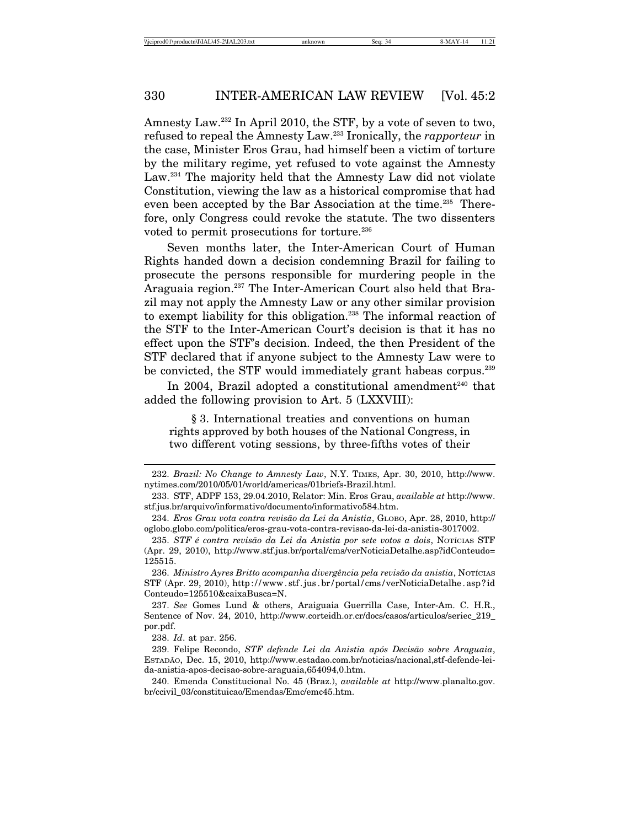Amnesty Law.<sup>232</sup> In April 2010, the STF, by a vote of seven to two, refused to repeal the Amnesty Law.233 Ironically, the *rapporteur* in the case, Minister Eros Grau, had himself been a victim of torture by the military regime, yet refused to vote against the Amnesty Law.<sup>234</sup> The majority held that the Amnesty Law did not violate Constitution, viewing the law as a historical compromise that had even been accepted by the Bar Association at the time.<sup>235</sup> Therefore, only Congress could revoke the statute. The two dissenters voted to permit prosecutions for torture.<sup>236</sup>

Seven months later, the Inter-American Court of Human Rights handed down a decision condemning Brazil for failing to prosecute the persons responsible for murdering people in the Araguaia region.237 The Inter-American Court also held that Brazil may not apply the Amnesty Law or any other similar provision to exempt liability for this obligation.<sup>238</sup> The informal reaction of the STF to the Inter-American Court's decision is that it has no effect upon the STF's decision. Indeed, the then President of the STF declared that if anyone subject to the Amnesty Law were to be convicted, the STF would immediately grant habeas corpus.<sup>239</sup>

In 2004, Brazil adopted a constitutional amendment<sup>240</sup> that added the following provision to Art. 5 (LXXVIII):

§ 3. International treaties and conventions on human rights approved by both houses of the National Congress, in two different voting sessions, by three-fifths votes of their

<sup>232.</sup> *Brazil: No Change to Amnesty Law*, N.Y. TIMES, Apr. 30, 2010, http://www. nytimes.com/2010/05/01/world/americas/01briefs-Brazil.html.

<sup>233.</sup> STF, ADPF 153, 29.04.2010, Relator: Min. Eros Grau, *available at* http://www. stf.jus.br/arquivo/informativo/documento/informativo584.htm.

<sup>234.</sup> *Eros Grau vota contra revis˜ao da Lei da Anistia*, GLOBO, Apr. 28, 2010, http:// oglobo.globo.com/politica/eros-grau-vota-contra-revisao-da-lei-da-anistia-3017002.

<sup>235.</sup> *STF é contra revisão da Lei da Anistia por sete votos a dois*, Norícias STF (Apr. 29, 2010), http://www.stf.jus.br/portal/cms/verNoticiaDetalhe.asp?idConteudo= 125515.

<sup>236.</sup> *Ministro Ayres Britto acompanha divergência pela revisão da anistia,* Norícias STF (Apr. 29, 2010), http : / / www . stf . jus . br / portal / cms / verNoticiaDetalhe . asp ? id Conteudo=125510&caixaBusca=N.

<sup>237.</sup> *See* Gomes Lund & others, Araiguaia Guerrilla Case, Inter-Am. C. H.R., Sentence of Nov. 24, 2010, http://www.corteidh.or.cr/docs/casos/articulos/seriec\_219\_ por.pdf.

<sup>238.</sup> *Id*. at par. 256.

<sup>239.</sup> Felipe Recondo, *STF defende Lei da Anistia ap´os Decis˜ao sobre Araguaia*, ESTADÃO, Dec. 15, 2010, http://www.estadao.com.br/noticias/nacional,stf-defende-leida-anistia-apos-decisao-sobre-araguaia,654094,0.htm.

<sup>240.</sup> Emenda Constitucional No. 45 (Braz.), *available at* http://www.planalto.gov. br/ccivil\_03/constituicao/Emendas/Emc/emc45.htm.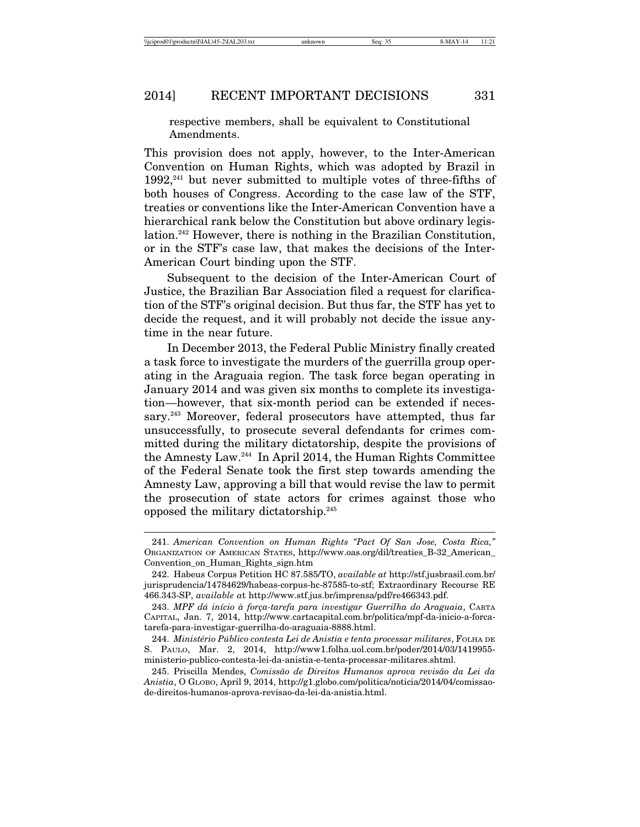respective members, shall be equivalent to Constitutional Amendments.

This provision does not apply, however, to the Inter-American Convention on Human Rights, which was adopted by Brazil in  $1992$ <sup>241</sup> but never submitted to multiple votes of three-fifths of both houses of Congress. According to the case law of the STF, treaties or conventions like the Inter-American Convention have a hierarchical rank below the Constitution but above ordinary legislation.242 However, there is nothing in the Brazilian Constitution, or in the STF's case law, that makes the decisions of the Inter-American Court binding upon the STF.

Subsequent to the decision of the Inter-American Court of Justice, the Brazilian Bar Association filed a request for clarification of the STF's original decision. But thus far, the STF has yet to decide the request, and it will probably not decide the issue anytime in the near future.

In December 2013, the Federal Public Ministry finally created a task force to investigate the murders of the guerrilla group operating in the Araguaia region. The task force began operating in January 2014 and was given six months to complete its investigation—however, that six-month period can be extended if necessary.<sup>243</sup> Moreover, federal prosecutors have attempted, thus far unsuccessfully, to prosecute several defendants for crimes committed during the military dictatorship, despite the provisions of the Amnesty Law.244 In April 2014, the Human Rights Committee of the Federal Senate took the first step towards amending the Amnesty Law, approving a bill that would revise the law to permit the prosecution of state actors for crimes against those who opposed the military dictatorship.245

<sup>241.</sup> *American Convention on Human Rights "Pact Of San Jose, Costa Rica,"* ORGANIZATION OF AMERICAN STATES, http://www.oas.org/dil/treaties\_B-32\_American\_ Convention\_on\_Human\_Rights\_sign.htm

<sup>242.</sup> Habeus Corpus Petition HC 87.585/TO, *available at* http://stf.jusbrasil.com.br/ jurisprudencia/14784629/habeas-corpus-hc-87585-to-stf; Extraordinary Recourse RE 466.343-SP, *available a*t http://www.stf.jus.br/imprensa/pdf/re466343.pdf.

<sup>243.</sup> *MPF dá início à força-tarefa para investigar Guerrilha do Araguaia*, CARTA CAPITAL, Jan. 7, 2014, http://www.cartacapital.com.br/politica/mpf-da-inicio-a-forcatarefa-para-investigar-guerrilha-do-araguaia-8888.html.

<sup>244.</sup> *Minist´erio P´ublico contesta Lei de Anistia e tenta processar militares*, FOLHA DE S. PAULO, Mar. 2, 2014, http://www1.folha.uol.com.br/poder/2014/03/1419955 ministerio-publico-contesta-lei-da-anistia-e-tenta-processar-militares.shtml.

<sup>245.</sup> Priscilla Mendes, *Comiss˜ao de Direitos Humanos aprova revis˜ao da Lei da Anistia*, O GLOBO, April 9, 2014, http://g1.globo.com/politica/noticia/2014/04/comissaode-direitos-humanos-aprova-revisao-da-lei-da-anistia.html.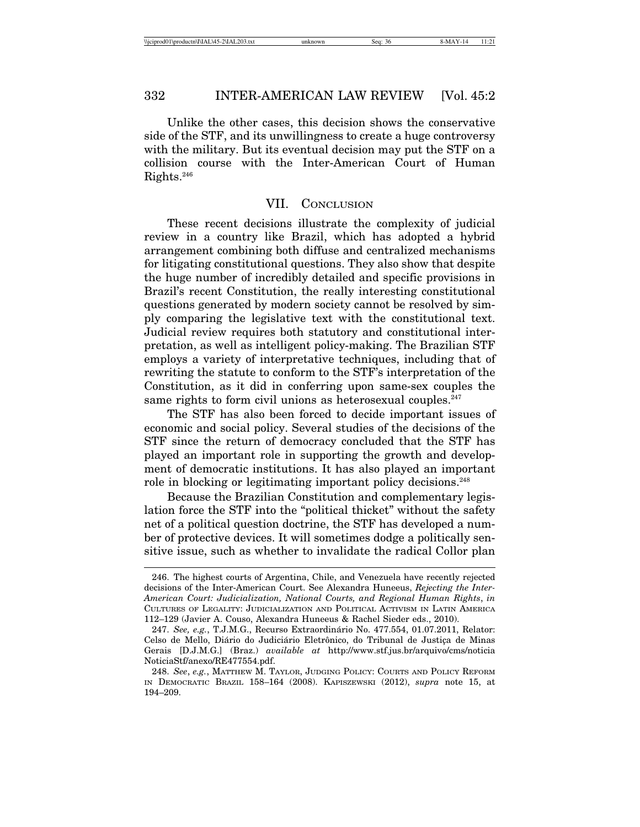Unlike the other cases, this decision shows the conservative side of the STF, and its unwillingness to create a huge controversy with the military. But its eventual decision may put the STF on a collision course with the Inter-American Court of Human Rights. $246$ 

## VII. CONCLUSION

These recent decisions illustrate the complexity of judicial review in a country like Brazil, which has adopted a hybrid arrangement combining both diffuse and centralized mechanisms for litigating constitutional questions. They also show that despite the huge number of incredibly detailed and specific provisions in Brazil's recent Constitution, the really interesting constitutional questions generated by modern society cannot be resolved by simply comparing the legislative text with the constitutional text. Judicial review requires both statutory and constitutional interpretation, as well as intelligent policy-making. The Brazilian STF employs a variety of interpretative techniques, including that of rewriting the statute to conform to the STF's interpretation of the Constitution, as it did in conferring upon same-sex couples the same rights to form civil unions as heterosexual couples. $247$ 

The STF has also been forced to decide important issues of economic and social policy. Several studies of the decisions of the STF since the return of democracy concluded that the STF has played an important role in supporting the growth and development of democratic institutions. It has also played an important role in blocking or legitimating important policy decisions.<sup>248</sup>

Because the Brazilian Constitution and complementary legislation force the STF into the "political thicket" without the safety net of a political question doctrine, the STF has developed a number of protective devices. It will sometimes dodge a politically sensitive issue, such as whether to invalidate the radical Collor plan

<sup>246.</sup> The highest courts of Argentina, Chile, and Venezuela have recently rejected decisions of the Inter-American Court. See Alexandra Huneeus, *Rejecting the Inter-American Court: Judicialization, National Courts, and Regional Human Rights*, *in* CULTURES OF LEGALITY: JUDICIALIZATION AND POLITICAL ACTIVISM IN LATIN AMERICA 112–129 (Javier A. Couso, Alexandra Huneeus & Rachel Sieder eds., 2010).

<sup>247.</sup> *See, e.g.*, T.J.M.G., Recurso Extraordinário No. 477.554, 01.07.2011, Relator: Celso de Mello, Diário do Judiciário Eletrônico, do Tribunal de Justiça de Minas Gerais [D.J.M.G.] (Braz.) *available at* http://www.stf.jus.br/arquivo/cms/noticia NoticiaStf/anexo/RE477554.pdf.

<sup>248.</sup> *See*, *e.g.*, MATTHEW M. TAYLOR, JUDGING POLICY: COURTS AND POLICY REFORM IN DEMOCRATIC BRAZIL 158–164 (2008). KAPISZEWSKI (2012), *supra* note 15, at 194–209.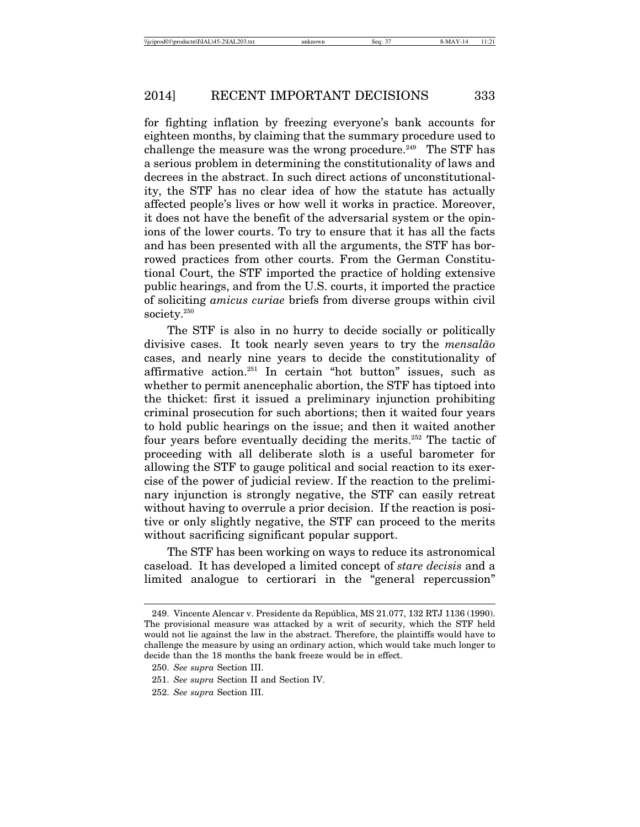for fighting inflation by freezing everyone's bank accounts for eighteen months, by claiming that the summary procedure used to challenge the measure was the wrong procedure.<sup>249</sup> The STF has a serious problem in determining the constitutionality of laws and decrees in the abstract. In such direct actions of unconstitutionality, the STF has no clear idea of how the statute has actually affected people's lives or how well it works in practice. Moreover, it does not have the benefit of the adversarial system or the opinions of the lower courts. To try to ensure that it has all the facts and has been presented with all the arguments, the STF has borrowed practices from other courts. From the German Constitutional Court, the STF imported the practice of holding extensive public hearings, and from the U.S. courts, it imported the practice of soliciting *amicus curiae* briefs from diverse groups within civil society.<sup>250</sup>

The STF is also in no hurry to decide socially or politically divisive cases. It took nearly seven years to try the *mensal˜ao* cases, and nearly nine years to decide the constitutionality of affirmative action.251 In certain "hot button" issues, such as whether to permit anencephalic abortion, the STF has tiptoed into the thicket: first it issued a preliminary injunction prohibiting criminal prosecution for such abortions; then it waited four years to hold public hearings on the issue; and then it waited another four years before eventually deciding the merits.252 The tactic of proceeding with all deliberate sloth is a useful barometer for allowing the STF to gauge political and social reaction to its exercise of the power of judicial review. If the reaction to the preliminary injunction is strongly negative, the STF can easily retreat without having to overrule a prior decision. If the reaction is positive or only slightly negative, the STF can proceed to the merits without sacrificing significant popular support.

The STF has been working on ways to reduce its astronomical caseload. It has developed a limited concept of *stare decisis* and a limited analogue to certiorari in the "general repercussion"

<sup>249.</sup> Vincente Alencar v. Presidente da República, MS 21.077, 132 RTJ 1136 (1990). The provisional measure was attacked by a writ of security, which the STF held would not lie against the law in the abstract. Therefore, the plaintiffs would have to challenge the measure by using an ordinary action, which would take much longer to decide than the 18 months the bank freeze would be in effect.

<sup>250.</sup> *See supra* Section III.

<sup>251.</sup> *See supra* Section II and Section IV.

<sup>252.</sup> *See supra* Section III.